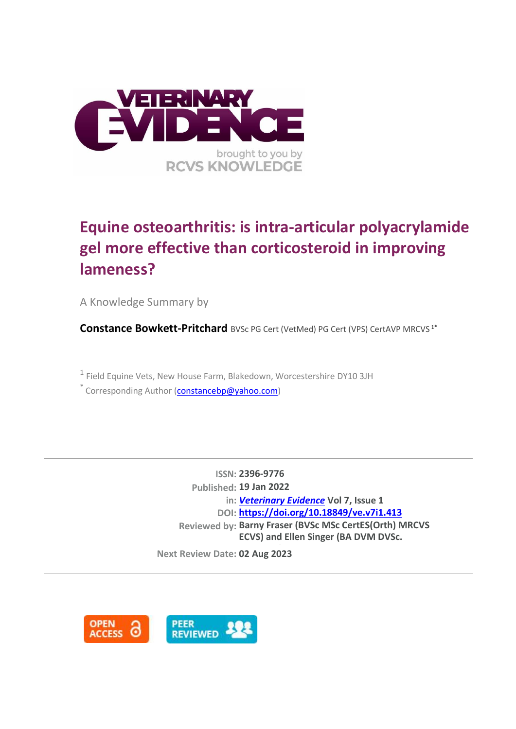

# **Equine osteoarthritis: is intra-articular polyacrylamide gel more effective than corticosteroid in improving lameness?**

A Knowledge Summary by

**Constance Bowkett-Pritchard** BVSc PG Cert (VetMed) PG Cert (VPS) CertAVP MRCVS<sup>1\*</sup>

<sup>1</sup> Field Equine Vets, New House Farm, Blakedown, Worcestershire DY10 3JH

\* Corresponding Author [\(constancebp@yahoo.com\)](constancebp@yahoo.com)

**ISSN: 2396-9776 Published: 19 Jan 2022 in:** *[Veterinary Evidence](https://veterinaryevidence.org/index.php/ve)* **Vol 7, Issue 1 DOI: <https://doi.org/10.18849/ve.v7i1.413> Reviewed by: Barny Fraser (BVSc MSc CertES(Orth) MRCVS ECVS) and Ellen Singer (BA DVM DVSc.** 

**DipACVS/ECVS FRCVS) Next Review Date: 02 Aug 2023**

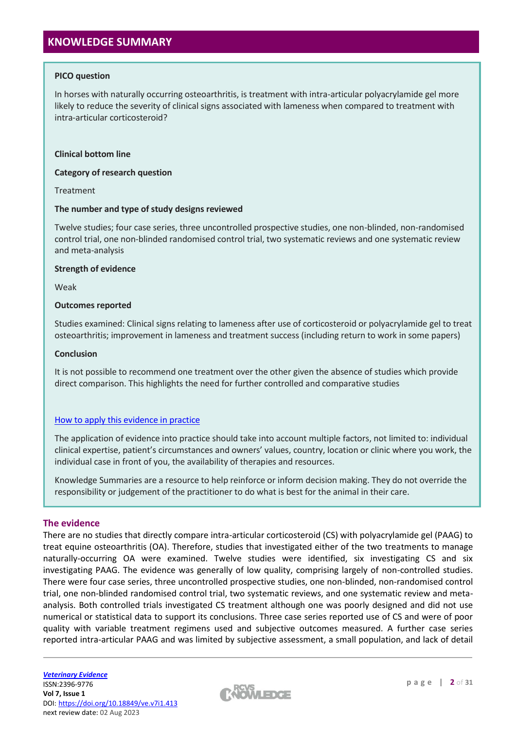# **KNOWLEDGE SUMMARY**

#### **PICO question**

In horses with naturally occurring osteoarthritis, is treatment with intra-articular polyacrylamide gel more likely to reduce the severity of clinical signs associated with lameness when compared to treatment with intra-articular corticosteroid?

#### **Clinical bottom line**

**Category of research question**

Treatment

#### **The number and type of study designs reviewed**

Twelve studies; four case series, three uncontrolled prospective studies, one non-blinded, non-randomised control trial, one non-blinded randomised control trial, two systematic reviews and one systematic review and meta-analysis

#### **Strength of evidence**

Weak

#### **Outcomes reported**

Studies examined: Clinical signs relating to lameness after use of corticosteroid or polyacrylamide gel to treat osteoarthritis; improvement in lameness and treatment success (including return to work in some papers)

#### **Conclusion**

It is not possible to recommend one treatment over the other given the absence of studies which provide direct comparison. This highlights the need for further controlled and comparative studies

#### [How to apply this evidence in practice](https://learn.rcvsknowledge.org/mod/book/view.php?id=50)

The application of evidence into practice should take into account multiple factors, not limited to: individual clinical expertise, patient's circumstances and owners' values, country, location or clinic where you work, the individual case in front of you, the availability of therapies and resources.

Knowledge Summaries are a resource to help reinforce or inform decision making. They do not override the responsibility or judgement of the practitioner to do what is best for the animal in their care.

#### **The evidence**

There are no studies that directly compare intra-articular corticosteroid (CS) with polyacrylamide gel (PAAG) to treat equine osteoarthritis (OA). Therefore, studies that investigated either of the two treatments to manage naturally-occurring OA were examined. Twelve studies were identified, six investigating CS and six investigating PAAG. The evidence was generally of low quality, comprising largely of non-controlled studies. There were four case series, three uncontrolled prospective studies, one non-blinded, non-randomised control trial, one non-blinded randomised control trial, two systematic reviews, and one systematic review and metaanalysis. Both controlled trials investigated CS treatment although one was poorly designed and did not use numerical or statistical data to support its conclusions. Three case series reported use of CS and were of poor quality with variable treatment regimens used and subjective outcomes measured. A further case series reported intra-articular PAAG and was limited by subjective assessment, a small population, and lack of detail

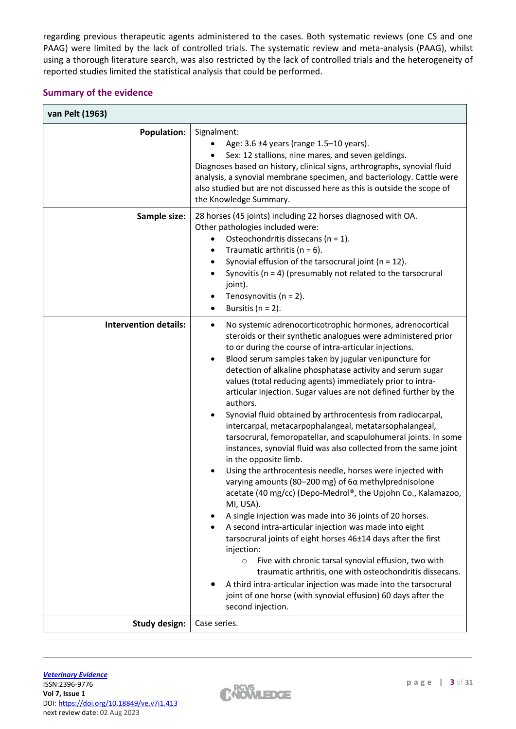regarding previous therapeutic agents administered to the cases. Both systematic reviews (one CS and one PAAG) were limited by the lack of controlled trials. The systematic review and meta-analysis (PAAG), whilst using a thorough literature search, was also restricted by the lack of controlled trials and the heterogeneity of reported studies limited the statistical analysis that could be performed.

## **Summary of the evidence**

| <b>Population:</b>           | Signalment:<br>Age: 3.6 ±4 years (range 1.5-10 years).<br>Sex: 12 stallions, nine mares, and seven geldings.<br>Diagnoses based on history, clinical signs, arthrographs, synovial fluid<br>analysis, a synovial membrane specimen, and bacteriology. Cattle were<br>also studied but are not discussed here as this is outside the scope of<br>the Knowledge Summary.                                                                                                                                                                                                                                                                                                                                                                                                                                                                                                                                                                                                                                                                                                                                                                                                                                                                                                                                                                                                                                                                                                 |
|------------------------------|------------------------------------------------------------------------------------------------------------------------------------------------------------------------------------------------------------------------------------------------------------------------------------------------------------------------------------------------------------------------------------------------------------------------------------------------------------------------------------------------------------------------------------------------------------------------------------------------------------------------------------------------------------------------------------------------------------------------------------------------------------------------------------------------------------------------------------------------------------------------------------------------------------------------------------------------------------------------------------------------------------------------------------------------------------------------------------------------------------------------------------------------------------------------------------------------------------------------------------------------------------------------------------------------------------------------------------------------------------------------------------------------------------------------------------------------------------------------|
| Sample size:                 | 28 horses (45 joints) including 22 horses diagnosed with OA.<br>Other pathologies included were:<br>Osteochondritis dissecans ( $n = 1$ ).<br>$\bullet$<br>Traumatic arthritis ( $n = 6$ ).<br>Synovial effusion of the tarsocrural joint ( $n = 12$ ).<br>Synovitis ( $n = 4$ ) (presumably not related to the tarsocrural<br>joint).<br>Tenosynovitis ( $n = 2$ ).<br>Bursitis ( $n = 2$ ).                                                                                                                                                                                                                                                                                                                                                                                                                                                                                                                                                                                                                                                                                                                                                                                                                                                                                                                                                                                                                                                                          |
| <b>Intervention details:</b> | No systemic adrenocorticotrophic hormones, adrenocortical<br>$\bullet$<br>steroids or their synthetic analogues were administered prior<br>to or during the course of intra-articular injections.<br>Blood serum samples taken by jugular venipuncture for<br>detection of alkaline phosphatase activity and serum sugar<br>values (total reducing agents) immediately prior to intra-<br>articular injection. Sugar values are not defined further by the<br>authors.<br>Synovial fluid obtained by arthrocentesis from radiocarpal,<br>intercarpal, metacarpophalangeal, metatarsophalangeal,<br>tarsocrural, femoropatellar, and scapulohumeral joints. In some<br>instances, synovial fluid was also collected from the same joint<br>in the opposite limb.<br>Using the arthrocentesis needle, horses were injected with<br>varying amounts (80-200 mg) of $6\alpha$ methylprednisolone<br>acetate (40 mg/cc) (Depo-Medrol®, the Upjohn Co., Kalamazoo,<br>MI, USA).<br>A single injection was made into 36 joints of 20 horses.<br>A second intra-articular injection was made into eight<br>tarsocrural joints of eight horses 46±14 days after the first<br>injection:<br>Five with chronic tarsal synovial effusion, two with<br>$\circ$<br>traumatic arthritis, one with osteochondritis dissecans.<br>A third intra-articular injection was made into the tarsocrural<br>joint of one horse (with synovial effusion) 60 days after the<br>second injection. |
|                              |                                                                                                                                                                                                                                                                                                                                                                                                                                                                                                                                                                                                                                                                                                                                                                                                                                                                                                                                                                                                                                                                                                                                                                                                                                                                                                                                                                                                                                                                        |

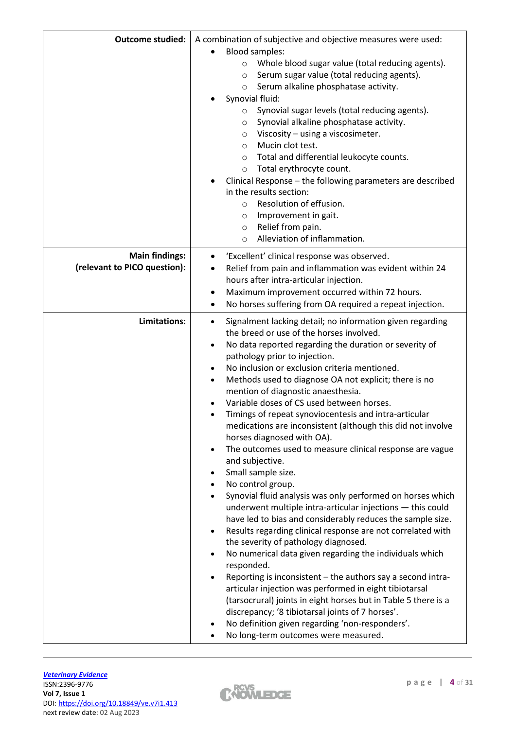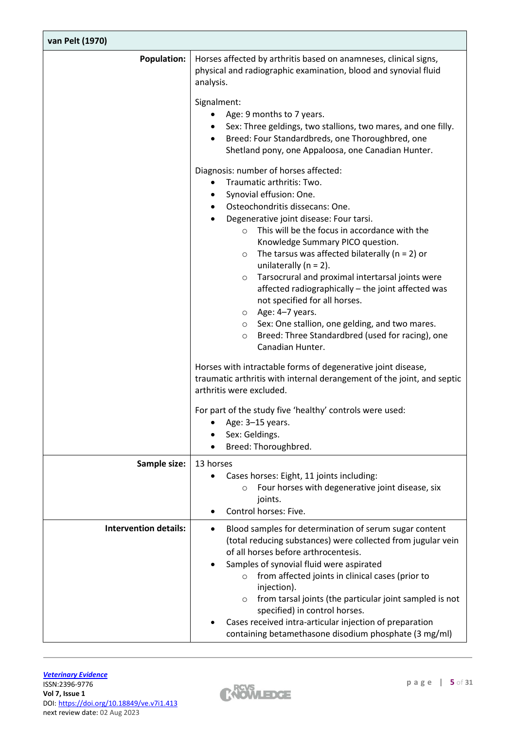| van Pelt (1970)              |                                                                                                                                                                                                                                                                                                                                                                                                                                                                                                                                                                                                                                                                                                     |
|------------------------------|-----------------------------------------------------------------------------------------------------------------------------------------------------------------------------------------------------------------------------------------------------------------------------------------------------------------------------------------------------------------------------------------------------------------------------------------------------------------------------------------------------------------------------------------------------------------------------------------------------------------------------------------------------------------------------------------------------|
| <b>Population:</b>           | Horses affected by arthritis based on anamneses, clinical signs,<br>physical and radiographic examination, blood and synovial fluid<br>analysis.                                                                                                                                                                                                                                                                                                                                                                                                                                                                                                                                                    |
|                              | Signalment:<br>Age: 9 months to 7 years.<br>Sex: Three geldings, two stallions, two mares, and one filly.<br>Breed: Four Standardbreds, one Thoroughbred, one<br>Shetland pony, one Appaloosa, one Canadian Hunter.                                                                                                                                                                                                                                                                                                                                                                                                                                                                                 |
|                              | Diagnosis: number of horses affected:<br>Traumatic arthritis: Two.<br>Synovial effusion: One.<br>Osteochondritis dissecans: One.<br>Degenerative joint disease: Four tarsi.<br>This will be the focus in accordance with the<br>$\circ$<br>Knowledge Summary PICO question.<br>The tarsus was affected bilaterally ( $n = 2$ ) or<br>$\circ$<br>unilaterally $(n = 2)$ .<br>Tarsocrural and proximal intertarsal joints were<br>$\circ$<br>affected radiographically - the joint affected was<br>not specified for all horses.<br>Age: 4-7 years.<br>$\circ$<br>○ Sex: One stallion, one gelding, and two mares.<br>Breed: Three Standardbred (used for racing), one<br>$\circ$<br>Canadian Hunter. |
|                              | Horses with intractable forms of degenerative joint disease,<br>traumatic arthritis with internal derangement of the joint, and septic<br>arthritis were excluded.                                                                                                                                                                                                                                                                                                                                                                                                                                                                                                                                  |
|                              | For part of the study five 'healthy' controls were used:<br>Age: 3-15 years.<br>Sex: Geldings.<br>Breed: Thoroughbred.                                                                                                                                                                                                                                                                                                                                                                                                                                                                                                                                                                              |
| Sample size:                 | 13 horses<br>Cases horses: Eight, 11 joints including:<br>٠<br>Four horses with degenerative joint disease, six<br>$\circ$<br>joints.<br>Control horses: Five.                                                                                                                                                                                                                                                                                                                                                                                                                                                                                                                                      |
| <b>Intervention details:</b> | Blood samples for determination of serum sugar content<br>$\bullet$<br>(total reducing substances) were collected from jugular vein<br>of all horses before arthrocentesis.<br>Samples of synovial fluid were aspirated<br>from affected joints in clinical cases (prior to<br>$\circ$<br>injection).<br>from tarsal joints (the particular joint sampled is not<br>$\circ$<br>specified) in control horses.<br>Cases received intra-articular injection of preparation<br>containing betamethasone disodium phosphate (3 mg/ml)                                                                                                                                                                    |

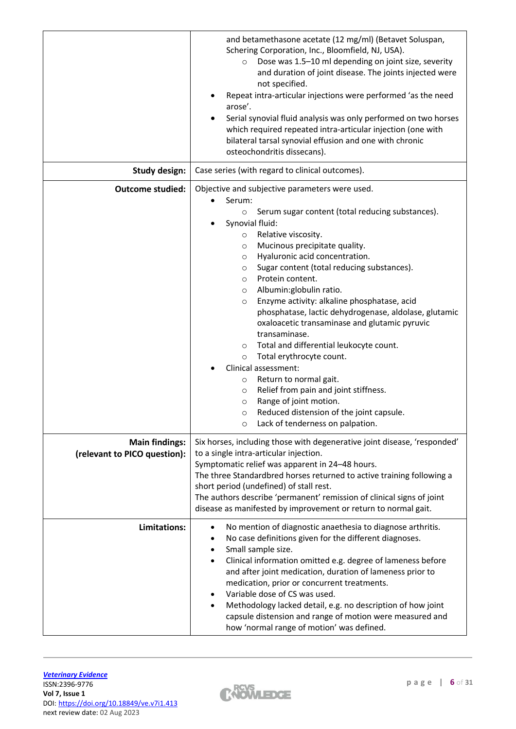|                                                       | and betamethasone acetate (12 mg/ml) (Betavet Soluspan,<br>Schering Corporation, Inc., Bloomfield, NJ, USA).<br>Dose was 1.5-10 ml depending on joint size, severity<br>$\circ$<br>and duration of joint disease. The joints injected were<br>not specified.<br>Repeat intra-articular injections were performed 'as the need<br>arose'.<br>Serial synovial fluid analysis was only performed on two horses<br>which required repeated intra-articular injection (one with<br>bilateral tarsal synovial effusion and one with chronic<br>osteochondritis dissecans).                                                                                                                                                                                                                                                                                                                            |
|-------------------------------------------------------|-------------------------------------------------------------------------------------------------------------------------------------------------------------------------------------------------------------------------------------------------------------------------------------------------------------------------------------------------------------------------------------------------------------------------------------------------------------------------------------------------------------------------------------------------------------------------------------------------------------------------------------------------------------------------------------------------------------------------------------------------------------------------------------------------------------------------------------------------------------------------------------------------|
| <b>Study design:</b>                                  | Case series (with regard to clinical outcomes).                                                                                                                                                                                                                                                                                                                                                                                                                                                                                                                                                                                                                                                                                                                                                                                                                                                 |
| <b>Outcome studied:</b>                               | Objective and subjective parameters were used.                                                                                                                                                                                                                                                                                                                                                                                                                                                                                                                                                                                                                                                                                                                                                                                                                                                  |
|                                                       | Serum:<br>Serum sugar content (total reducing substances).<br>$\circ$<br>Synovial fluid:<br>Relative viscosity.<br>$\circ$<br>Mucinous precipitate quality.<br>$\circ$<br>Hyaluronic acid concentration.<br>$\circ$<br>Sugar content (total reducing substances).<br>$\circ$<br>Protein content.<br>$\circ$<br>Albumin:globulin ratio.<br>$\circ$<br>Enzyme activity: alkaline phosphatase, acid<br>$\circ$<br>phosphatase, lactic dehydrogenase, aldolase, glutamic<br>oxaloacetic transaminase and glutamic pyruvic<br>transaminase.<br>Total and differential leukocyte count.<br>$\circ$<br>Total erythrocyte count.<br>$\circ$<br>Clinical assessment:<br>Return to normal gait.<br>$\circ$<br>Relief from pain and joint stiffness.<br>$\circ$<br>Range of joint motion.<br>$\circ$<br>Reduced distension of the joint capsule.<br>$\circ$<br>Lack of tenderness on palpation.<br>$\circ$ |
| <b>Main findings:</b><br>(relevant to PICO question): | Six horses, including those with degenerative joint disease, 'responded'<br>to a single intra-articular injection.<br>Symptomatic relief was apparent in 24-48 hours.<br>The three Standardbred horses returned to active training following a<br>short period (undefined) of stall rest.<br>The authors describe 'permanent' remission of clinical signs of joint<br>disease as manifested by improvement or return to normal gait.                                                                                                                                                                                                                                                                                                                                                                                                                                                            |
| Limitations:                                          | No mention of diagnostic anaethesia to diagnose arthritis.<br>No case definitions given for the different diagnoses.<br>Small sample size.<br>Clinical information omitted e.g. degree of lameness before<br>and after joint medication, duration of lameness prior to<br>medication, prior or concurrent treatments.<br>Variable dose of CS was used.<br>Methodology lacked detail, e.g. no description of how joint<br>capsule distension and range of motion were measured and<br>how 'normal range of motion' was defined.                                                                                                                                                                                                                                                                                                                                                                  |

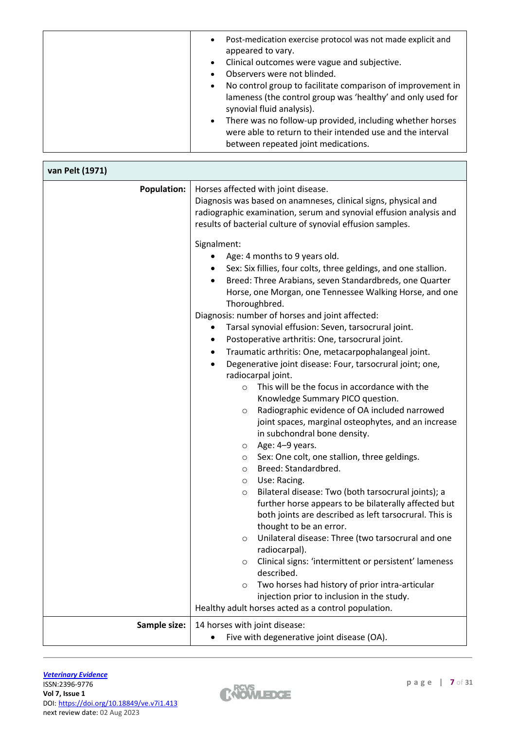| Post-medication exercise protocol was not made explicit and<br>$\bullet$<br>appeared to vary.<br>Clinical outcomes were vague and subjective.<br>$\bullet$<br>Observers were not blinded.<br>No control group to facilitate comparison of improvement in<br>$\bullet$<br>lameness (the control group was 'healthy' and only used for<br>synovial fluid analysis).<br>There was no follow-up provided, including whether horses<br>$\bullet$<br>were able to return to their intended use and the interval |
|-----------------------------------------------------------------------------------------------------------------------------------------------------------------------------------------------------------------------------------------------------------------------------------------------------------------------------------------------------------------------------------------------------------------------------------------------------------------------------------------------------------|
| between repeated joint medications.                                                                                                                                                                                                                                                                                                                                                                                                                                                                       |

| van Pelt (1971)    |                                                                                                                                                                                                                                                                                                                                                                                                                                                                                                                                                                                                                                                                                                                                                  |
|--------------------|--------------------------------------------------------------------------------------------------------------------------------------------------------------------------------------------------------------------------------------------------------------------------------------------------------------------------------------------------------------------------------------------------------------------------------------------------------------------------------------------------------------------------------------------------------------------------------------------------------------------------------------------------------------------------------------------------------------------------------------------------|
| <b>Population:</b> | Horses affected with joint disease.<br>Diagnosis was based on anamneses, clinical signs, physical and<br>radiographic examination, serum and synovial effusion analysis and<br>results of bacterial culture of synovial effusion samples.<br>Signalment:<br>Age: 4 months to 9 years old.<br>Sex: Six fillies, four colts, three geldings, and one stallion.<br>٠<br>Breed: Three Arabians, seven Standardbreds, one Quarter<br>Horse, one Morgan, one Tennessee Walking Horse, and one<br>Thoroughbred.<br>Diagnosis: number of horses and joint affected:<br>Tarsal synovial effusion: Seven, tarsocrural joint.<br>Postoperative arthritis: One, tarsocrural joint.<br>٠<br>Traumatic arthritis: One, metacarpophalangeal joint.<br>$\bullet$ |
|                    | Degenerative joint disease: Four, tarsocrural joint; one,<br>$\bullet$<br>radiocarpal joint.<br>This will be the focus in accordance with the<br>$\circ$<br>Knowledge Summary PICO question.<br>Radiographic evidence of OA included narrowed<br>$\circ$                                                                                                                                                                                                                                                                                                                                                                                                                                                                                         |
|                    | joint spaces, marginal osteophytes, and an increase<br>in subchondral bone density.<br>Age: 4-9 years.<br>$\circ$<br>Sex: One colt, one stallion, three geldings.<br>$\circ$<br>Breed: Standardbred.<br>$\circ$                                                                                                                                                                                                                                                                                                                                                                                                                                                                                                                                  |
|                    | Use: Racing.<br>$\circ$<br>Bilateral disease: Two (both tarsocrural joints); a<br>$\circ$<br>further horse appears to be bilaterally affected but<br>both joints are described as left tarsocrural. This is<br>thought to be an error.                                                                                                                                                                                                                                                                                                                                                                                                                                                                                                           |
|                    | Unilateral disease: Three (two tarsocrural and one<br>$\circ$<br>radiocarpal).<br>Clinical signs: 'intermittent or persistent' lameness<br>$\circ$<br>described.                                                                                                                                                                                                                                                                                                                                                                                                                                                                                                                                                                                 |
|                    | Two horses had history of prior intra-articular<br>$\circ$<br>injection prior to inclusion in the study.<br>Healthy adult horses acted as a control population.                                                                                                                                                                                                                                                                                                                                                                                                                                                                                                                                                                                  |
| Sample size:       | 14 horses with joint disease:<br>Five with degenerative joint disease (OA).                                                                                                                                                                                                                                                                                                                                                                                                                                                                                                                                                                                                                                                                      |

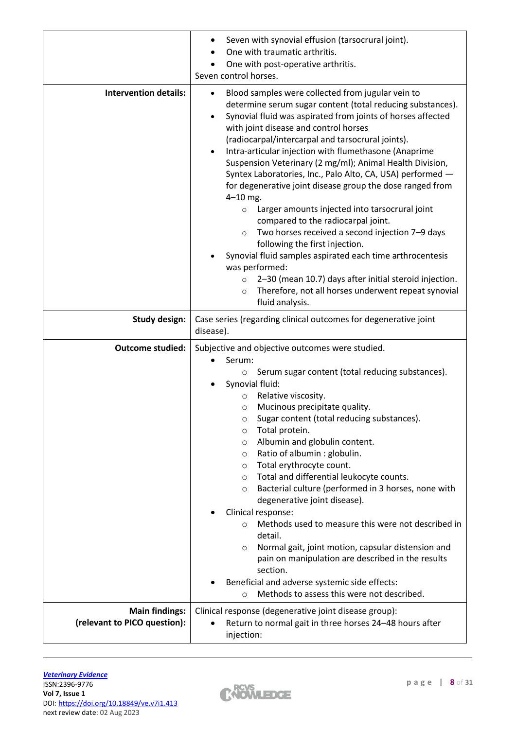|                              | Seven with synovial effusion (tarsocrural joint).<br>One with traumatic arthritis.<br>One with post-operative arthritis.<br>Seven control horses.                                                                                                                                                                                                                                                                                                                                                                                                                                                                                                                                                                                                                                                                                                                                                                                                                                                     |
|------------------------------|-------------------------------------------------------------------------------------------------------------------------------------------------------------------------------------------------------------------------------------------------------------------------------------------------------------------------------------------------------------------------------------------------------------------------------------------------------------------------------------------------------------------------------------------------------------------------------------------------------------------------------------------------------------------------------------------------------------------------------------------------------------------------------------------------------------------------------------------------------------------------------------------------------------------------------------------------------------------------------------------------------|
| <b>Intervention details:</b> | Blood samples were collected from jugular vein to<br>determine serum sugar content (total reducing substances).<br>Synovial fluid was aspirated from joints of horses affected<br>with joint disease and control horses<br>(radiocarpal/intercarpal and tarsocrural joints).<br>Intra-articular injection with flumethasone (Anaprime<br>$\bullet$<br>Suspension Veterinary (2 mg/ml); Animal Health Division,<br>Syntex Laboratories, Inc., Palo Alto, CA, USA) performed -<br>for degenerative joint disease group the dose ranged from<br>$4 - 10$ mg.<br>Larger amounts injected into tarsocrural joint<br>$\circ$<br>compared to the radiocarpal joint.<br>Two horses received a second injection 7-9 days<br>$\circ$<br>following the first injection.<br>Synovial fluid samples aspirated each time arthrocentesis<br>was performed:<br>2-30 (mean 10.7) days after initial steroid injection.<br>$\circ$<br>Therefore, not all horses underwent repeat synovial<br>$\circ$<br>fluid analysis. |
| <b>Study design:</b>         | Case series (regarding clinical outcomes for degenerative joint<br>disease).                                                                                                                                                                                                                                                                                                                                                                                                                                                                                                                                                                                                                                                                                                                                                                                                                                                                                                                          |
| <b>Outcome studied:</b>      | Subjective and objective outcomes were studied.                                                                                                                                                                                                                                                                                                                                                                                                                                                                                                                                                                                                                                                                                                                                                                                                                                                                                                                                                       |
|                              | Serum:<br>Serum sugar content (total reducing substances).<br>$\circ$<br>Synovial fluid:<br>Relative viscosity.<br>$\circ$<br>Mucinous precipitate quality.<br>$\circ$<br>Sugar content (total reducing substances).<br>Total protein.<br>$\circ$<br>Albumin and globulin content.<br>$\circ$<br>Ratio of albumin : globulin.<br>$\circ$<br>Total erythrocyte count.<br>$\circ$<br>Total and differential leukocyte counts.<br>$\circ$<br>Bacterial culture (performed in 3 horses, none with<br>$\circ$<br>degenerative joint disease).<br>Clinical response:<br>Methods used to measure this were not described in<br>$\circ$<br>detail.<br>Normal gait, joint motion, capsular distension and<br>$\circ$<br>pain on manipulation are described in the results<br>section.<br>Beneficial and adverse systemic side effects:<br>Methods to assess this were not described.<br>$\circ$                                                                                                                |

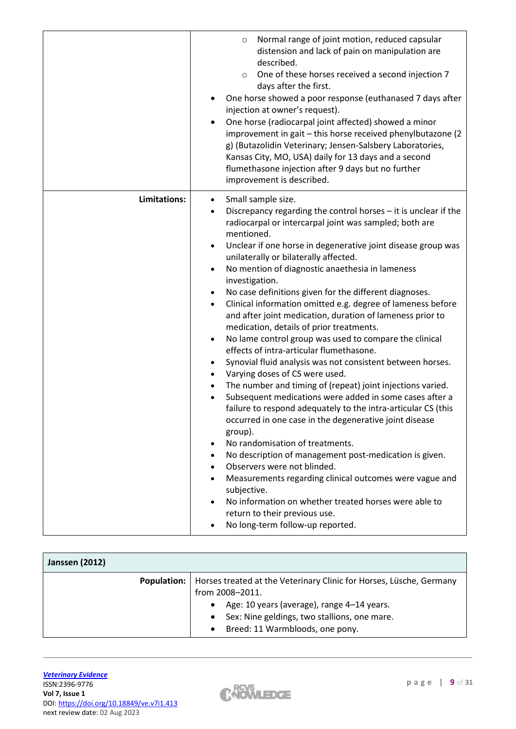|              | Normal range of joint motion, reduced capsular<br>$\circ$<br>distension and lack of pain on manipulation are<br>described.<br>One of these horses received a second injection 7<br>$\circ$<br>days after the first.<br>One horse showed a poor response (euthanased 7 days after<br>injection at owner's request).<br>One horse (radiocarpal joint affected) showed a minor<br>$\bullet$<br>improvement in gait - this horse received phenylbutazone (2<br>g) (Butazolidin Veterinary; Jensen-Salsbery Laboratories,<br>Kansas City, MO, USA) daily for 13 days and a second<br>flumethasone injection after 9 days but no further<br>improvement is described.                                                                                                                                                                                                                                                                                                                                                                                                                                                                                                                                                                                                                                                                                                                                                                                                                                                                       |
|--------------|---------------------------------------------------------------------------------------------------------------------------------------------------------------------------------------------------------------------------------------------------------------------------------------------------------------------------------------------------------------------------------------------------------------------------------------------------------------------------------------------------------------------------------------------------------------------------------------------------------------------------------------------------------------------------------------------------------------------------------------------------------------------------------------------------------------------------------------------------------------------------------------------------------------------------------------------------------------------------------------------------------------------------------------------------------------------------------------------------------------------------------------------------------------------------------------------------------------------------------------------------------------------------------------------------------------------------------------------------------------------------------------------------------------------------------------------------------------------------------------------------------------------------------------|
| Limitations: | Small sample size.<br>$\bullet$<br>Discrepancy regarding the control horses - it is unclear if the<br>radiocarpal or intercarpal joint was sampled; both are<br>mentioned.<br>Unclear if one horse in degenerative joint disease group was<br>$\bullet$<br>unilaterally or bilaterally affected.<br>No mention of diagnostic anaethesia in lameness<br>$\bullet$<br>investigation.<br>No case definitions given for the different diagnoses.<br>$\bullet$<br>Clinical information omitted e.g. degree of lameness before<br>$\bullet$<br>and after joint medication, duration of lameness prior to<br>medication, details of prior treatments.<br>No lame control group was used to compare the clinical<br>$\bullet$<br>effects of intra-articular flumethasone.<br>Synovial fluid analysis was not consistent between horses.<br>$\bullet$<br>Varying doses of CS were used.<br>$\bullet$<br>The number and timing of (repeat) joint injections varied.<br>$\bullet$<br>Subsequent medications were added in some cases after a<br>$\bullet$<br>failure to respond adequately to the intra-articular CS (this<br>occurred in one case in the degenerative joint disease<br>group).<br>No randomisation of treatments.<br>$\bullet$<br>No description of management post-medication is given.<br>Observers were not blinded.<br>Measurements regarding clinical outcomes were vague and<br>subjective.<br>No information on whether treated horses were able to<br>return to their previous use.<br>No long-term follow-up reported. |

| <b>Janssen (2012)</b> |                                                                                                                                                                                                                                                                |
|-----------------------|----------------------------------------------------------------------------------------------------------------------------------------------------------------------------------------------------------------------------------------------------------------|
| <b>Population:</b>    | Horses treated at the Veterinary Clinic for Horses, Lüsche, Germany<br>from 2008-2011.<br>Age: 10 years (average), range 4-14 years.<br>$\bullet$<br>Sex: Nine geldings, two stallions, one mare.<br>$\bullet$<br>Breed: 11 Warmbloods, one pony.<br>$\bullet$ |

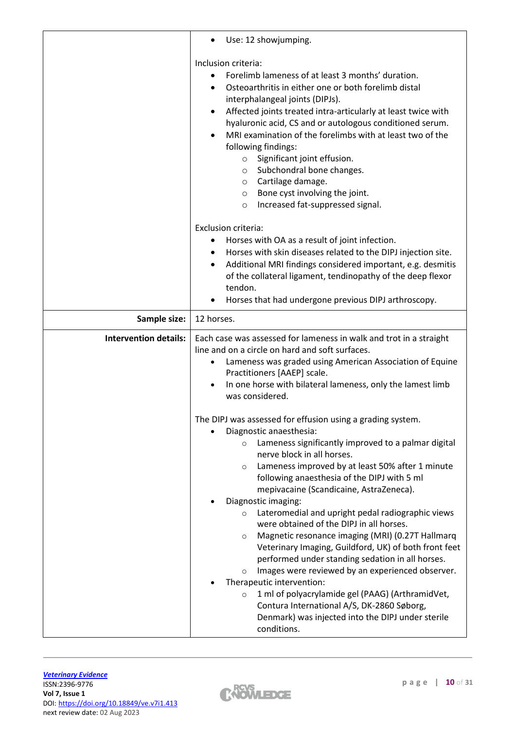|                              | Use: 12 showjumping.                                                                                                                                                                                                                                                                                                                                                                                                                                                                                                                                                                               |
|------------------------------|----------------------------------------------------------------------------------------------------------------------------------------------------------------------------------------------------------------------------------------------------------------------------------------------------------------------------------------------------------------------------------------------------------------------------------------------------------------------------------------------------------------------------------------------------------------------------------------------------|
|                              | Inclusion criteria:<br>Forelimb lameness of at least 3 months' duration.<br>Osteoarthritis in either one or both forelimb distal<br>interphalangeal joints (DIPJs).<br>Affected joints treated intra-articularly at least twice with<br>hyaluronic acid, CS and or autologous conditioned serum.<br>MRI examination of the forelimbs with at least two of the<br>following findings:<br>Significant joint effusion.<br>$\circ$<br>Subchondral bone changes.<br>$\circ$<br>Cartilage damage.<br>$\circ$<br>Bone cyst involving the joint.<br>$\circ$<br>Increased fat-suppressed signal.<br>$\circ$ |
|                              | <b>Exclusion criteria:</b><br>Horses with OA as a result of joint infection.<br>Horses with skin diseases related to the DIPJ injection site.<br>Additional MRI findings considered important, e.g. desmitis<br>of the collateral ligament, tendinopathy of the deep flexor<br>tendon.<br>Horses that had undergone previous DIPJ arthroscopy.                                                                                                                                                                                                                                                     |
| Sample size:                 | 12 horses.                                                                                                                                                                                                                                                                                                                                                                                                                                                                                                                                                                                         |
| <b>Intervention details:</b> | Each case was assessed for lameness in walk and trot in a straight<br>line and on a circle on hard and soft surfaces.<br>Lameness was graded using American Association of Equine<br>Practitioners [AAEP] scale.                                                                                                                                                                                                                                                                                                                                                                                   |
|                              | In one horse with bilateral lameness, only the lamest limb<br>was considered.                                                                                                                                                                                                                                                                                                                                                                                                                                                                                                                      |

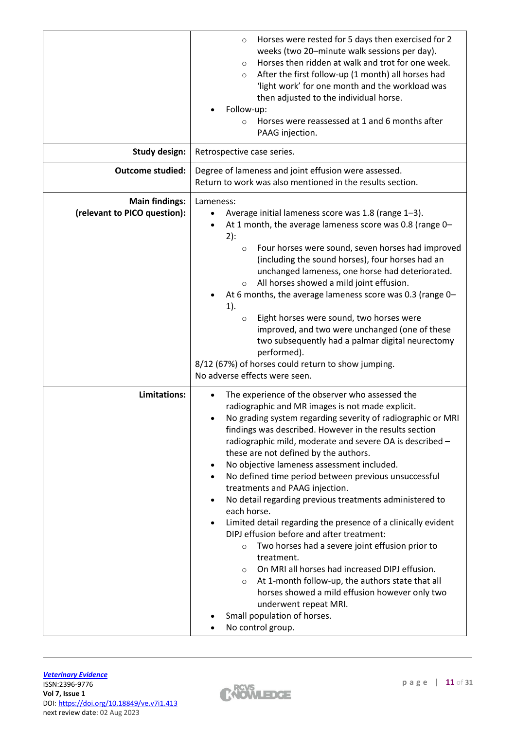|                                                       | Horses were rested for 5 days then exercised for 2<br>$\circ$<br>weeks (two 20-minute walk sessions per day).<br>Horses then ridden at walk and trot for one week.<br>$\circ$<br>After the first follow-up (1 month) all horses had<br>$\circ$<br>'light work' for one month and the workload was<br>then adjusted to the individual horse.<br>Follow-up:<br>Horses were reassessed at 1 and 6 months after<br>$\circ$<br>PAAG injection.                                                                                                                                                                                                                                                                                                                                                                                                                                                                                                                                                                             |
|-------------------------------------------------------|-----------------------------------------------------------------------------------------------------------------------------------------------------------------------------------------------------------------------------------------------------------------------------------------------------------------------------------------------------------------------------------------------------------------------------------------------------------------------------------------------------------------------------------------------------------------------------------------------------------------------------------------------------------------------------------------------------------------------------------------------------------------------------------------------------------------------------------------------------------------------------------------------------------------------------------------------------------------------------------------------------------------------|
| <b>Study design:</b>                                  | Retrospective case series.                                                                                                                                                                                                                                                                                                                                                                                                                                                                                                                                                                                                                                                                                                                                                                                                                                                                                                                                                                                            |
| <b>Outcome studied:</b>                               | Degree of lameness and joint effusion were assessed.<br>Return to work was also mentioned in the results section.                                                                                                                                                                                                                                                                                                                                                                                                                                                                                                                                                                                                                                                                                                                                                                                                                                                                                                     |
| <b>Main findings:</b><br>(relevant to PICO question): | Lameness:<br>Average initial lameness score was 1.8 (range 1-3).<br>At 1 month, the average lameness score was 0.8 (range 0-<br>$2)$ :<br>Four horses were sound, seven horses had improved<br>$\circ$<br>(including the sound horses), four horses had an<br>unchanged lameness, one horse had deteriorated.<br>All horses showed a mild joint effusion.<br>$\circ$<br>At 6 months, the average lameness score was 0.3 (range 0-<br>$1$ ).<br>Eight horses were sound, two horses were<br>$\circ$<br>improved, and two were unchanged (one of these<br>two subsequently had a palmar digital neurectomy<br>performed).<br>8/12 (67%) of horses could return to show jumping.<br>No adverse effects were seen.                                                                                                                                                                                                                                                                                                        |
| Limitations:                                          | The experience of the observer who assessed the<br>radiographic and MR images is not made explicit.<br>No grading system regarding severity of radiographic or MRI<br>findings was described. However in the results section<br>radiographic mild, moderate and severe OA is described -<br>these are not defined by the authors.<br>No objective lameness assessment included.<br>$\bullet$<br>No defined time period between previous unsuccessful<br>treatments and PAAG injection.<br>No detail regarding previous treatments administered to<br>each horse.<br>Limited detail regarding the presence of a clinically evident<br>DIPJ effusion before and after treatment:<br>Two horses had a severe joint effusion prior to<br>$\circ$<br>treatment.<br>On MRI all horses had increased DIPJ effusion.<br>$\circ$<br>At 1-month follow-up, the authors state that all<br>$\circ$<br>horses showed a mild effusion however only two<br>underwent repeat MRI.<br>Small population of horses.<br>No control group. |

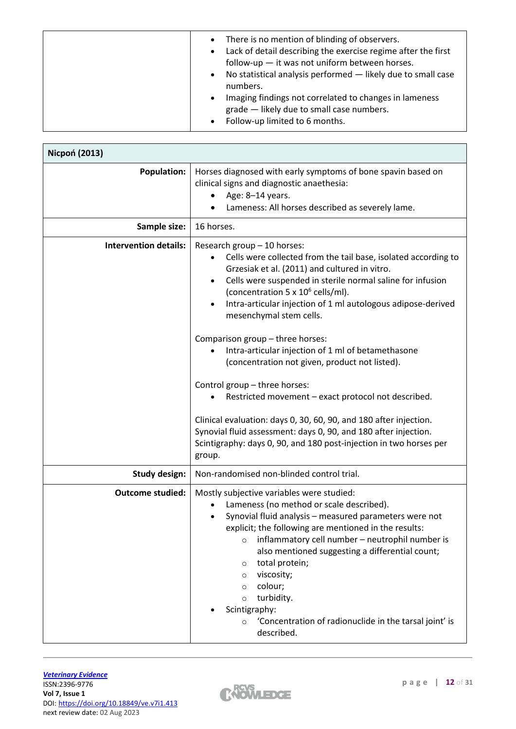| There is no mention of blinding of observers.<br>$\bullet$<br>Lack of detail describing the exercise regime after the first<br>$\bullet$<br>follow-up $-$ it was not uniform between horses.<br>No statistical analysis performed - likely due to small case<br>$\bullet$<br>numbers.<br>Imaging findings not correlated to changes in lameness<br>$\bullet$<br>grade - likely due to small case numbers. |
|-----------------------------------------------------------------------------------------------------------------------------------------------------------------------------------------------------------------------------------------------------------------------------------------------------------------------------------------------------------------------------------------------------------|
| Follow-up limited to 6 months.<br>$\bullet$                                                                                                                                                                                                                                                                                                                                                               |

| <b>Nicpoń (2013)</b>         |                                                                                                                                                                                                                                                                                                                                                                                                                                                                                                                                    |  |
|------------------------------|------------------------------------------------------------------------------------------------------------------------------------------------------------------------------------------------------------------------------------------------------------------------------------------------------------------------------------------------------------------------------------------------------------------------------------------------------------------------------------------------------------------------------------|--|
| <b>Population:</b>           | Horses diagnosed with early symptoms of bone spavin based on<br>clinical signs and diagnostic anaethesia:<br>Age: 8-14 years.<br>Lameness: All horses described as severely lame.                                                                                                                                                                                                                                                                                                                                                  |  |
| Sample size:                 | 16 horses.                                                                                                                                                                                                                                                                                                                                                                                                                                                                                                                         |  |
| <b>Intervention details:</b> | Research group - 10 horses:<br>Cells were collected from the tail base, isolated according to<br>Grzesiak et al. (2011) and cultured in vitro.<br>Cells were suspended in sterile normal saline for infusion<br>(concentration 5 x 10 <sup>6</sup> cells/ml).<br>Intra-articular injection of 1 ml autologous adipose-derived<br>mesenchymal stem cells.<br>Comparison group - three horses:<br>Intra-articular injection of 1 ml of betamethasone                                                                                 |  |
|                              | (concentration not given, product not listed).<br>Control group - three horses:<br>Restricted movement - exact protocol not described.<br>Clinical evaluation: days 0, 30, 60, 90, and 180 after injection.<br>Synovial fluid assessment: days 0, 90, and 180 after injection.<br>Scintigraphy: days 0, 90, and 180 post-injection in two horses per<br>group.                                                                                                                                                                     |  |
| <b>Study design:</b>         | Non-randomised non-blinded control trial.                                                                                                                                                                                                                                                                                                                                                                                                                                                                                          |  |
| <b>Outcome studied:</b>      | Mostly subjective variables were studied:<br>Lameness (no method or scale described).<br>Synovial fluid analysis - measured parameters were not<br>explicit; the following are mentioned in the results:<br>inflammatory cell number - neutrophil number is<br>$\circ$<br>also mentioned suggesting a differential count;<br>total protein;<br>$\circ$<br>viscosity;<br>$\circ$<br>colour;<br>$\circ$<br>turbidity.<br>$\circ$<br>Scintigraphy:<br>'Concentration of radionuclide in the tarsal joint' is<br>$\circ$<br>described. |  |

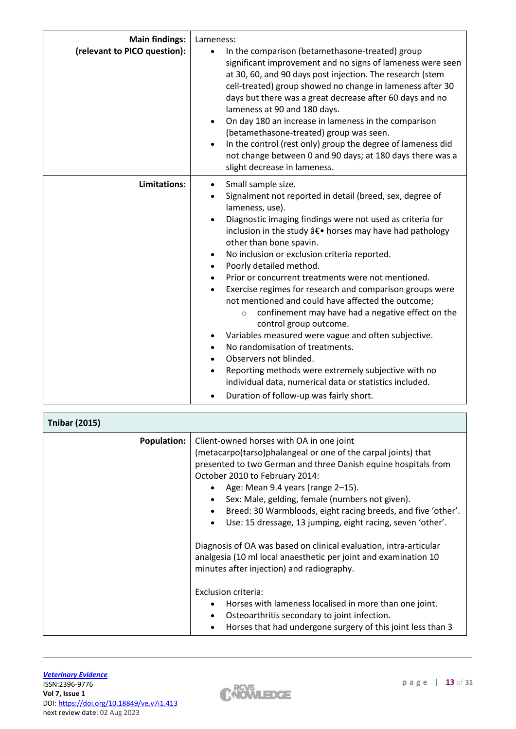| <b>Main findings:</b><br>(relevant to PICO question): | Lameness:<br>In the comparison (betamethasone-treated) group<br>$\bullet$<br>significant improvement and no signs of lameness were seen<br>at 30, 60, and 90 days post injection. The research (stem<br>cell-treated) group showed no change in lameness after 30<br>days but there was a great decrease after 60 days and no<br>lameness at 90 and 180 days.<br>On day 180 an increase in lameness in the comparison<br>$\bullet$<br>(betamethasone-treated) group was seen.<br>In the control (rest only) group the degree of lameness did<br>not change between 0 and 90 days; at 180 days there was a<br>slight decrease in lameness.                                                                                                                                                                                                                                                                                                            |
|-------------------------------------------------------|------------------------------------------------------------------------------------------------------------------------------------------------------------------------------------------------------------------------------------------------------------------------------------------------------------------------------------------------------------------------------------------------------------------------------------------------------------------------------------------------------------------------------------------------------------------------------------------------------------------------------------------------------------------------------------------------------------------------------------------------------------------------------------------------------------------------------------------------------------------------------------------------------------------------------------------------------|
| Limitations:                                          | Small sample size.<br>$\bullet$<br>Signalment not reported in detail (breed, sex, degree of<br>$\bullet$<br>lameness, use).<br>Diagnostic imaging findings were not used as criteria for<br>inclusion in the study â€. horses may have had pathology<br>other than bone spavin.<br>No inclusion or exclusion criteria reported.<br>$\bullet$<br>Poorly detailed method.<br>Prior or concurrent treatments were not mentioned.<br>Exercise regimes for research and comparison groups were<br>$\bullet$<br>not mentioned and could have affected the outcome;<br>confinement may have had a negative effect on the<br>$\circ$<br>control group outcome.<br>Variables measured were vague and often subjective.<br>No randomisation of treatments.<br>Observers not blinded.<br>$\bullet$<br>Reporting methods were extremely subjective with no<br>individual data, numerical data or statistics included.<br>Duration of follow-up was fairly short. |

| <b>Tnibar (2015)</b> |                                                                                                                                                                                                                                                                                                                                                                                                                                                                                                                                                                                                                          |
|----------------------|--------------------------------------------------------------------------------------------------------------------------------------------------------------------------------------------------------------------------------------------------------------------------------------------------------------------------------------------------------------------------------------------------------------------------------------------------------------------------------------------------------------------------------------------------------------------------------------------------------------------------|
| <b>Population:</b>   | Client-owned horses with OA in one joint<br>(metacarpo(tarso)phalangeal or one of the carpal joints) that<br>presented to two German and three Danish equine hospitals from<br>October 2010 to February 2014:<br>Age: Mean 9.4 years (range 2-15).<br>Sex: Male, gelding, female (numbers not given).<br>Breed: 30 Warmbloods, eight racing breeds, and five 'other'.<br>Use: 15 dressage, 13 jumping, eight racing, seven 'other'.<br>Diagnosis of OA was based on clinical evaluation, intra-articular<br>analgesia (10 ml local anaesthetic per joint and examination 10<br>minutes after injection) and radiography. |
|                      | Exclusion criteria:<br>Horses with lameness localised in more than one joint.<br>$\bullet$<br>Osteoarthritis secondary to joint infection.<br>$\bullet$<br>Horses that had undergone surgery of this joint less than 3                                                                                                                                                                                                                                                                                                                                                                                                   |



 $\overline{\phantom{a}}$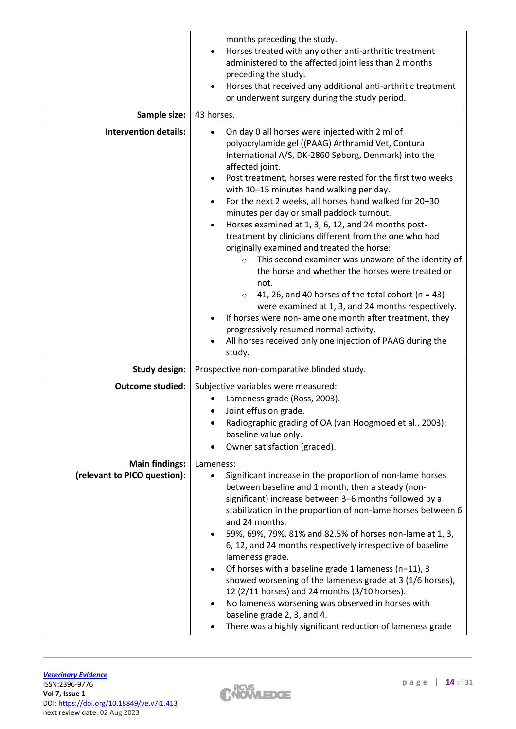| Sample size:                                          | months preceding the study.<br>Horses treated with any other anti-arthritic treatment<br>administered to the affected joint less than 2 months<br>preceding the study.<br>Horses that received any additional anti-arthritic treatment<br>$\bullet$<br>or underwent surgery during the study period.<br>43 horses.                                                                                                                                                                                                                                                                                                                                                                                                                                                                                                                                                                                                                                                                                                                         |
|-------------------------------------------------------|--------------------------------------------------------------------------------------------------------------------------------------------------------------------------------------------------------------------------------------------------------------------------------------------------------------------------------------------------------------------------------------------------------------------------------------------------------------------------------------------------------------------------------------------------------------------------------------------------------------------------------------------------------------------------------------------------------------------------------------------------------------------------------------------------------------------------------------------------------------------------------------------------------------------------------------------------------------------------------------------------------------------------------------------|
|                                                       |                                                                                                                                                                                                                                                                                                                                                                                                                                                                                                                                                                                                                                                                                                                                                                                                                                                                                                                                                                                                                                            |
| <b>Intervention details:</b>                          | On day 0 all horses were injected with 2 ml of<br>polyacrylamide gel ((PAAG) Arthramid Vet, Contura<br>International A/S, DK-2860 Søborg, Denmark) into the<br>affected joint.<br>Post treatment, horses were rested for the first two weeks<br>$\bullet$<br>with 10-15 minutes hand walking per day.<br>For the next 2 weeks, all horses hand walked for 20-30<br>$\bullet$<br>minutes per day or small paddock turnout.<br>Horses examined at 1, 3, 6, 12, and 24 months post-<br>$\bullet$<br>treatment by clinicians different from the one who had<br>originally examined and treated the horse:<br>This second examiner was unaware of the identity of<br>$\circ$<br>the horse and whether the horses were treated or<br>not.<br>41, 26, and 40 horses of the total cohort ( $n = 43$ )<br>$\circ$<br>were examined at 1, 3, and 24 months respectively.<br>If horses were non-lame one month after treatment, they<br>progressively resumed normal activity.<br>All horses received only one injection of PAAG during the<br>study. |
| <b>Study design:</b>                                  | Prospective non-comparative blinded study.                                                                                                                                                                                                                                                                                                                                                                                                                                                                                                                                                                                                                                                                                                                                                                                                                                                                                                                                                                                                 |
| <b>Outcome studied:</b>                               | Subjective variables were measured:<br>Lameness grade (Ross, 2003).<br>Joint effusion grade.<br>Radiographic grading of OA (van Hoogmoed et al., 2003):<br>baseline value only.<br>Owner satisfaction (graded).                                                                                                                                                                                                                                                                                                                                                                                                                                                                                                                                                                                                                                                                                                                                                                                                                            |
| <b>Main findings:</b><br>(relevant to PICO question): | Lameness:<br>Significant increase in the proportion of non-lame horses<br>$\bullet$<br>between baseline and 1 month, then a steady (non-<br>significant) increase between 3-6 months followed by a<br>stabilization in the proportion of non-lame horses between 6<br>and 24 months.<br>59%, 69%, 79%, 81% and 82.5% of horses non-lame at 1, 3,<br>$\bullet$<br>6, 12, and 24 months respectively irrespective of baseline<br>lameness grade.<br>Of horses with a baseline grade 1 lameness (n=11), 3<br>$\bullet$<br>showed worsening of the lameness grade at 3 (1/6 horses),<br>12 (2/11 horses) and 24 months (3/10 horses).<br>No lameness worsening was observed in horses with<br>$\bullet$<br>baseline grade 2, 3, and 4.<br>There was a highly significant reduction of lameness grade                                                                                                                                                                                                                                           |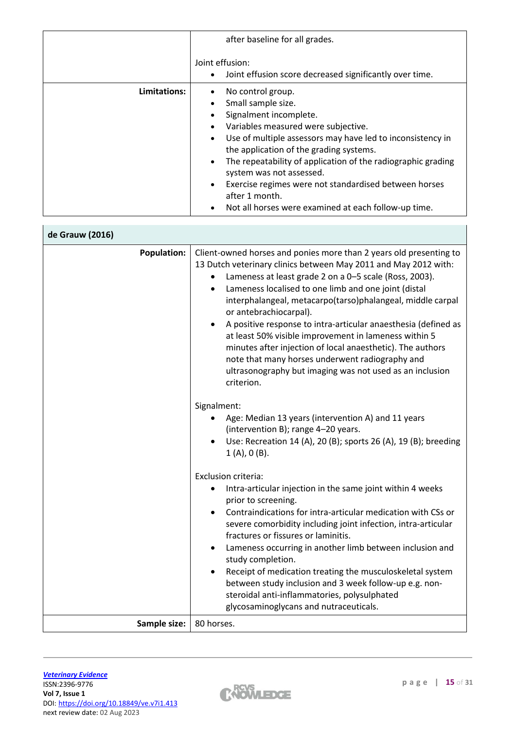|              | after baseline for all grades.                                                                                                                                                                                                                                                                                                                                                                                                                                             |
|--------------|----------------------------------------------------------------------------------------------------------------------------------------------------------------------------------------------------------------------------------------------------------------------------------------------------------------------------------------------------------------------------------------------------------------------------------------------------------------------------|
|              | Joint effusion:<br>Joint effusion score decreased significantly over time.<br>$\bullet$                                                                                                                                                                                                                                                                                                                                                                                    |
| Limitations: | No control group.<br>Small sample size.<br>Signalment incomplete.<br>Variables measured were subjective.<br>Use of multiple assessors may have led to inconsistency in<br>$\bullet$<br>the application of the grading systems.<br>The repeatability of application of the radiographic grading<br>$\bullet$<br>system was not assessed.<br>Exercise regimes were not standardised between horses<br>after 1 month.<br>Not all horses were examined at each follow-up time. |

| de Grauw (2016)    |                                                                                                                                                                                                                                                                                                                                                                                                                                                                                                                                                                                                                                                                       |
|--------------------|-----------------------------------------------------------------------------------------------------------------------------------------------------------------------------------------------------------------------------------------------------------------------------------------------------------------------------------------------------------------------------------------------------------------------------------------------------------------------------------------------------------------------------------------------------------------------------------------------------------------------------------------------------------------------|
| <b>Population:</b> | Client-owned horses and ponies more than 2 years old presenting to<br>13 Dutch veterinary clinics between May 2011 and May 2012 with:<br>Lameness at least grade 2 on a 0-5 scale (Ross, 2003).<br>Lameness localised to one limb and one joint (distal<br>interphalangeal, metacarpo(tarso)phalangeal, middle carpal<br>or antebrachiocarpal).<br>A positive response to intra-articular anaesthesia (defined as<br>at least 50% visible improvement in lameness within 5<br>minutes after injection of local anaesthetic). The authors<br>note that many horses underwent radiography and<br>ultrasonography but imaging was not used as an inclusion<br>criterion. |
|                    | Signalment:<br>Age: Median 13 years (intervention A) and 11 years<br>(intervention B); range 4-20 years.<br>Use: Recreation 14 (A), 20 (B); sports 26 (A), 19 (B); breeding<br>1(A), 0(B).                                                                                                                                                                                                                                                                                                                                                                                                                                                                            |
|                    | <b>Exclusion criteria:</b><br>Intra-articular injection in the same joint within 4 weeks<br>prior to screening.<br>Contraindications for intra-articular medication with CSs or<br>severe comorbidity including joint infection, intra-articular<br>fractures or fissures or laminitis.<br>Lameness occurring in another limb between inclusion and<br>study completion.<br>Receipt of medication treating the musculoskeletal system<br>$\bullet$<br>between study inclusion and 3 week follow-up e.g. non-<br>steroidal anti-inflammatories, polysulphated                                                                                                          |
| Sample size:       | glycosaminoglycans and nutraceuticals.<br>80 horses.                                                                                                                                                                                                                                                                                                                                                                                                                                                                                                                                                                                                                  |

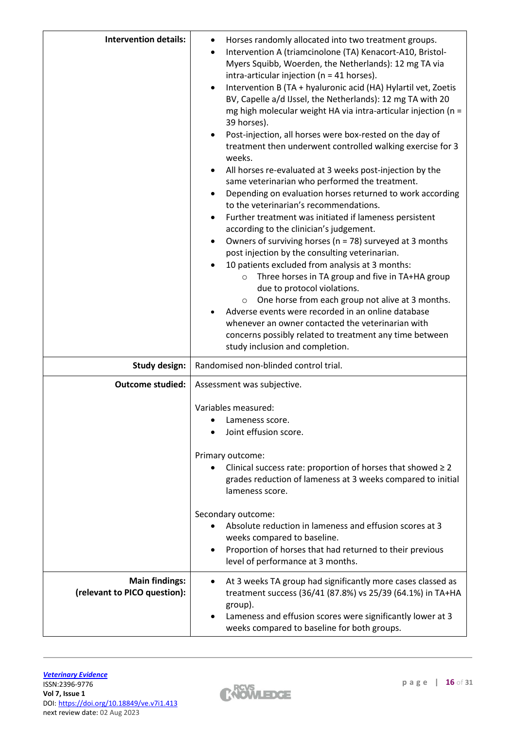| <b>Intervention details:</b>                          | Horses randomly allocated into two treatment groups.<br>$\bullet$<br>Intervention A (triamcinolone (TA) Kenacort-A10, Bristol-<br>$\bullet$<br>Myers Squibb, Woerden, the Netherlands): 12 mg TA via<br>intra-articular injection ( $n = 41$ horses).<br>Intervention B (TA + hyaluronic acid (HA) Hylartil vet, Zoetis<br>$\bullet$<br>BV, Capelle a/d IJssel, the Netherlands): 12 mg TA with 20<br>mg high molecular weight HA via intra-articular injection (n =<br>39 horses).<br>Post-injection, all horses were box-rested on the day of<br>treatment then underwent controlled walking exercise for 3<br>weeks.<br>All horses re-evaluated at 3 weeks post-injection by the<br>$\bullet$<br>same veterinarian who performed the treatment.<br>Depending on evaluation horses returned to work according<br>$\bullet$<br>to the veterinarian's recommendations.<br>Further treatment was initiated if lameness persistent<br>according to the clinician's judgement.<br>Owners of surviving horses ( $n = 78$ ) surveyed at 3 months<br>$\bullet$<br>post injection by the consulting veterinarian.<br>10 patients excluded from analysis at 3 months:<br>Three horses in TA group and five in TA+HA group<br>$\circ$<br>due to protocol violations.<br>One horse from each group not alive at 3 months.<br>$\circ$<br>Adverse events were recorded in an online database<br>whenever an owner contacted the veterinarian with<br>concerns possibly related to treatment any time between |  |
|-------------------------------------------------------|--------------------------------------------------------------------------------------------------------------------------------------------------------------------------------------------------------------------------------------------------------------------------------------------------------------------------------------------------------------------------------------------------------------------------------------------------------------------------------------------------------------------------------------------------------------------------------------------------------------------------------------------------------------------------------------------------------------------------------------------------------------------------------------------------------------------------------------------------------------------------------------------------------------------------------------------------------------------------------------------------------------------------------------------------------------------------------------------------------------------------------------------------------------------------------------------------------------------------------------------------------------------------------------------------------------------------------------------------------------------------------------------------------------------------------------------------------------------------------------------------|--|
| <b>Study design:</b>                                  | study inclusion and completion.<br>Randomised non-blinded control trial.                                                                                                                                                                                                                                                                                                                                                                                                                                                                                                                                                                                                                                                                                                                                                                                                                                                                                                                                                                                                                                                                                                                                                                                                                                                                                                                                                                                                                         |  |
| <b>Outcome studied:</b>                               | Assessment was subjective.                                                                                                                                                                                                                                                                                                                                                                                                                                                                                                                                                                                                                                                                                                                                                                                                                                                                                                                                                                                                                                                                                                                                                                                                                                                                                                                                                                                                                                                                       |  |
|                                                       | Variables measured:<br>Lameness score.<br>Joint effusion score.<br>Primary outcome:<br>Clinical success rate: proportion of horses that showed $\geq 2$<br>grades reduction of lameness at 3 weeks compared to initial<br>lameness score.<br>Secondary outcome:<br>Absolute reduction in lameness and effusion scores at 3<br>weeks compared to baseline.<br>Proportion of horses that had returned to their previous<br>level of performance at 3 months.                                                                                                                                                                                                                                                                                                                                                                                                                                                                                                                                                                                                                                                                                                                                                                                                                                                                                                                                                                                                                                       |  |
| <b>Main findings:</b><br>(relevant to PICO question): | At 3 weeks TA group had significantly more cases classed as<br>treatment success (36/41 (87.8%) vs 25/39 (64.1%) in TA+HA<br>group).<br>Lameness and effusion scores were significantly lower at 3<br>weeks compared to baseline for both groups.                                                                                                                                                                                                                                                                                                                                                                                                                                                                                                                                                                                                                                                                                                                                                                                                                                                                                                                                                                                                                                                                                                                                                                                                                                                |  |

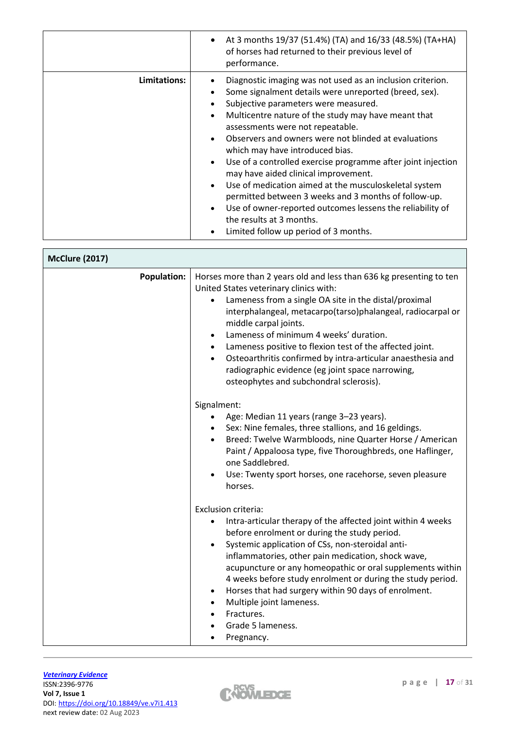|              | At 3 months 19/37 (51.4%) (TA) and 16/33 (48.5%) (TA+HA)<br>of horses had returned to their previous level of<br>performance.                                                                                                                                                                                                                                                                                                                                                                                                                                                                                                                                                                                                                       |
|--------------|-----------------------------------------------------------------------------------------------------------------------------------------------------------------------------------------------------------------------------------------------------------------------------------------------------------------------------------------------------------------------------------------------------------------------------------------------------------------------------------------------------------------------------------------------------------------------------------------------------------------------------------------------------------------------------------------------------------------------------------------------------|
| Limitations: | Diagnostic imaging was not used as an inclusion criterion.<br>Some signalment details were unreported (breed, sex).<br>Subjective parameters were measured.<br>Multicentre nature of the study may have meant that<br>assessments were not repeatable.<br>Observers and owners were not blinded at evaluations<br>which may have introduced bias.<br>Use of a controlled exercise programme after joint injection<br>$\bullet$<br>may have aided clinical improvement.<br>Use of medication aimed at the musculoskeletal system<br>$\bullet$<br>permitted between 3 weeks and 3 months of follow-up.<br>Use of owner-reported outcomes lessens the reliability of<br>$\bullet$<br>the results at 3 months.<br>Limited follow up period of 3 months. |

| <b>McClure (2017)</b> |                                                                                   |                                                                                                                                                                                                                                                                                                                                                                                                                                                                   |
|-----------------------|-----------------------------------------------------------------------------------|-------------------------------------------------------------------------------------------------------------------------------------------------------------------------------------------------------------------------------------------------------------------------------------------------------------------------------------------------------------------------------------------------------------------------------------------------------------------|
| <b>Population:</b>    | United States veterinary clinics with:<br>middle carpal joints.<br>$\bullet$      | Horses more than 2 years old and less than 636 kg presenting to ten<br>Lameness from a single OA site in the distal/proximal<br>interphalangeal, metacarpo(tarso)phalangeal, radiocarpal or<br>Lameness of minimum 4 weeks' duration.<br>• Lameness positive to flexion test of the affected joint.<br>Osteoarthritis confirmed by intra-articular anaesthesia and<br>radiographic evidence (eg joint space narrowing,<br>osteophytes and subchondral sclerosis). |
|                       | Signalment:<br>one Saddlebred.<br>$\bullet$<br>horses.                            | Age: Median 11 years (range 3-23 years).<br>• Sex: Nine females, three stallions, and 16 geldings.<br>Breed: Twelve Warmbloods, nine Quarter Horse / American<br>Paint / Appaloosa type, five Thoroughbreds, one Haflinger,<br>Use: Twenty sport horses, one racehorse, seven pleasure                                                                                                                                                                            |
|                       | Exclusion criteria:<br>$\bullet$<br>Fractures.<br>Grade 5 lameness.<br>Pregnancy. | Intra-articular therapy of the affected joint within 4 weeks<br>before enrolment or during the study period.<br>Systemic application of CSs, non-steroidal anti-<br>inflammatories, other pain medication, shock wave,<br>acupuncture or any homeopathic or oral supplements within<br>4 weeks before study enrolment or during the study period.<br>Horses that had surgery within 90 days of enrolment.<br>Multiple joint lameness.                             |

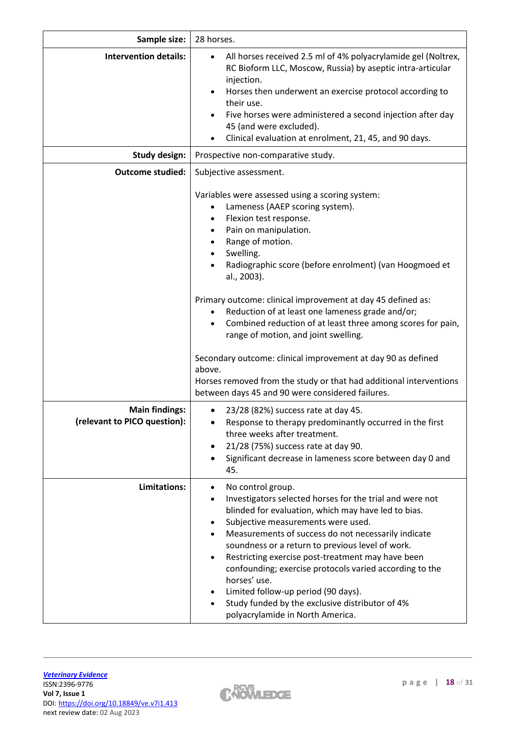| Sample size:                                          | 28 horses.                                                                                                                                                                                                                                                                                                                                                                                                                                                                                                                                                                                                                                                                                                           |
|-------------------------------------------------------|----------------------------------------------------------------------------------------------------------------------------------------------------------------------------------------------------------------------------------------------------------------------------------------------------------------------------------------------------------------------------------------------------------------------------------------------------------------------------------------------------------------------------------------------------------------------------------------------------------------------------------------------------------------------------------------------------------------------|
| <b>Intervention details:</b>                          | All horses received 2.5 ml of 4% polyacrylamide gel (Noltrex,<br>RC Bioform LLC, Moscow, Russia) by aseptic intra-articular<br>injection.<br>Horses then underwent an exercise protocol according to<br>their use.<br>Five horses were administered a second injection after day<br>45 (and were excluded).<br>Clinical evaluation at enrolment, 21, 45, and 90 days.                                                                                                                                                                                                                                                                                                                                                |
| <b>Study design:</b>                                  | Prospective non-comparative study.                                                                                                                                                                                                                                                                                                                                                                                                                                                                                                                                                                                                                                                                                   |
| <b>Outcome studied:</b>                               | Subjective assessment.                                                                                                                                                                                                                                                                                                                                                                                                                                                                                                                                                                                                                                                                                               |
|                                                       | Variables were assessed using a scoring system:<br>Lameness (AAEP scoring system).<br>Flexion test response.<br>Pain on manipulation.<br>$\bullet$<br>Range of motion.<br>Swelling.<br>Radiographic score (before enrolment) (van Hoogmoed et<br>al., 2003).<br>Primary outcome: clinical improvement at day 45 defined as:<br>Reduction of at least one lameness grade and/or;<br>$\bullet$<br>Combined reduction of at least three among scores for pain,<br>$\bullet$<br>range of motion, and joint swelling.<br>Secondary outcome: clinical improvement at day 90 as defined<br>above.<br>Horses removed from the study or that had additional interventions<br>between days 45 and 90 were considered failures. |
| <b>Main findings:</b><br>(relevant to PICO question): | 23/28 (82%) success rate at day 45.<br>Response to therapy predominantly occurred in the first<br>three weeks after treatment.<br>21/28 (75%) success rate at day 90.<br>Significant decrease in lameness score between day 0 and<br>45.                                                                                                                                                                                                                                                                                                                                                                                                                                                                             |
| Limitations:                                          | No control group.<br>Investigators selected horses for the trial and were not<br>blinded for evaluation, which may have led to bias.<br>Subjective measurements were used.<br>Measurements of success do not necessarily indicate<br>soundness or a return to previous level of work.<br>Restricting exercise post-treatment may have been<br>$\bullet$<br>confounding; exercise protocols varied according to the<br>horses' use.<br>Limited follow-up period (90 days).<br>Study funded by the exclusive distributor of 4%<br>polyacrylamide in North America.                                                                                                                                                     |

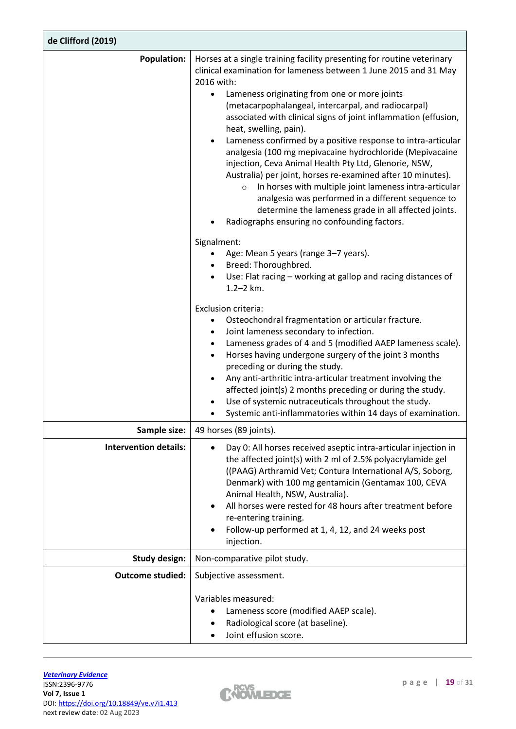| de Clifford (2019)           |                                                                                                                                                                                                                                                                                                                                                                                                                                                                                                                                                                                                                                                                                                                                                                                                                                                                                                                                                                                                                                                                                                                                                                                                                                                                                                                                                                                                                                                                                                                                                                                              |  |
|------------------------------|----------------------------------------------------------------------------------------------------------------------------------------------------------------------------------------------------------------------------------------------------------------------------------------------------------------------------------------------------------------------------------------------------------------------------------------------------------------------------------------------------------------------------------------------------------------------------------------------------------------------------------------------------------------------------------------------------------------------------------------------------------------------------------------------------------------------------------------------------------------------------------------------------------------------------------------------------------------------------------------------------------------------------------------------------------------------------------------------------------------------------------------------------------------------------------------------------------------------------------------------------------------------------------------------------------------------------------------------------------------------------------------------------------------------------------------------------------------------------------------------------------------------------------------------------------------------------------------------|--|
| <b>Population:</b>           | Horses at a single training facility presenting for routine veterinary<br>clinical examination for lameness between 1 June 2015 and 31 May<br>2016 with:<br>Lameness originating from one or more joints<br>$\bullet$<br>(metacarpophalangeal, intercarpal, and radiocarpal)<br>associated with clinical signs of joint inflammation (effusion,<br>heat, swelling, pain).<br>Lameness confirmed by a positive response to intra-articular<br>analgesia (100 mg mepivacaine hydrochloride (Mepivacaine<br>injection, Ceva Animal Health Pty Ltd, Glenorie, NSW,<br>Australia) per joint, horses re-examined after 10 minutes).<br>In horses with multiple joint lameness intra-articular<br>$\circ$<br>analgesia was performed in a different sequence to<br>determine the lameness grade in all affected joints.<br>Radiographs ensuring no confounding factors.<br>Signalment:<br>Age: Mean 5 years (range 3-7 years).<br>Breed: Thoroughbred.<br>Use: Flat racing – working at gallop and racing distances of<br>$1.2 - 2$ km.<br>Exclusion criteria:<br>Osteochondral fragmentation or articular fracture.<br>Joint lameness secondary to infection.<br>Lameness grades of 4 and 5 (modified AAEP lameness scale).<br>Horses having undergone surgery of the joint 3 months<br>$\bullet$<br>preceding or during the study.<br>Any anti-arthritic intra-articular treatment involving the<br>$\bullet$<br>affected joint(s) 2 months preceding or during the study.<br>Use of systemic nutraceuticals throughout the study.<br>Systemic anti-inflammatories within 14 days of examination. |  |
| Sample size:                 | 49 horses (89 joints).                                                                                                                                                                                                                                                                                                                                                                                                                                                                                                                                                                                                                                                                                                                                                                                                                                                                                                                                                                                                                                                                                                                                                                                                                                                                                                                                                                                                                                                                                                                                                                       |  |
| <b>Intervention details:</b> | Day 0: All horses received aseptic intra-articular injection in<br>the affected joint(s) with 2 ml of 2.5% polyacrylamide gel<br>((PAAG) Arthramid Vet; Contura International A/S, Soborg,<br>Denmark) with 100 mg gentamicin (Gentamax 100, CEVA<br>Animal Health, NSW, Australia).<br>All horses were rested for 48 hours after treatment before<br>re-entering training.<br>Follow-up performed at 1, 4, 12, and 24 weeks post<br>injection.                                                                                                                                                                                                                                                                                                                                                                                                                                                                                                                                                                                                                                                                                                                                                                                                                                                                                                                                                                                                                                                                                                                                              |  |
| <b>Study design:</b>         | Non-comparative pilot study.                                                                                                                                                                                                                                                                                                                                                                                                                                                                                                                                                                                                                                                                                                                                                                                                                                                                                                                                                                                                                                                                                                                                                                                                                                                                                                                                                                                                                                                                                                                                                                 |  |
| <b>Outcome studied:</b>      | Subjective assessment.                                                                                                                                                                                                                                                                                                                                                                                                                                                                                                                                                                                                                                                                                                                                                                                                                                                                                                                                                                                                                                                                                                                                                                                                                                                                                                                                                                                                                                                                                                                                                                       |  |
|                              | Variables measured:<br>Lameness score (modified AAEP scale).<br>Radiological score (at baseline).<br>Joint effusion score.                                                                                                                                                                                                                                                                                                                                                                                                                                                                                                                                                                                                                                                                                                                                                                                                                                                                                                                                                                                                                                                                                                                                                                                                                                                                                                                                                                                                                                                                   |  |

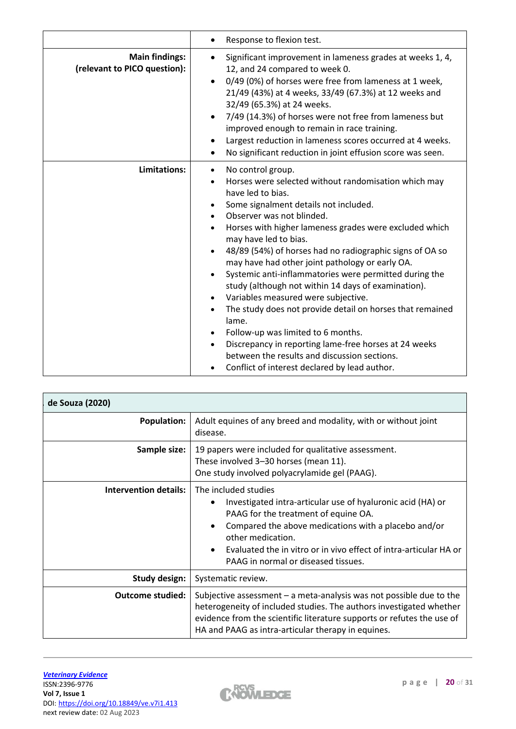|                                                       | Response to flexion test.                                                                                                                                                                                                                                                                                                                                                                                                                                                                                                                                                                                                                                                                                                                                                                                         |
|-------------------------------------------------------|-------------------------------------------------------------------------------------------------------------------------------------------------------------------------------------------------------------------------------------------------------------------------------------------------------------------------------------------------------------------------------------------------------------------------------------------------------------------------------------------------------------------------------------------------------------------------------------------------------------------------------------------------------------------------------------------------------------------------------------------------------------------------------------------------------------------|
| <b>Main findings:</b><br>(relevant to PICO question): | Significant improvement in lameness grades at weeks 1, 4,<br>12, and 24 compared to week 0.<br>0/49 (0%) of horses were free from lameness at 1 week,<br>21/49 (43%) at 4 weeks, 33/49 (67.3%) at 12 weeks and<br>32/49 (65.3%) at 24 weeks.<br>7/49 (14.3%) of horses were not free from lameness but<br>improved enough to remain in race training.<br>Largest reduction in lameness scores occurred at 4 weeks.<br>No significant reduction in joint effusion score was seen.                                                                                                                                                                                                                                                                                                                                  |
| Limitations:                                          | No control group.<br>$\bullet$<br>Horses were selected without randomisation which may<br>have led to bias.<br>Some signalment details not included.<br>Observer was not blinded.<br>Horses with higher lameness grades were excluded which<br>may have led to bias.<br>48/89 (54%) of horses had no radiographic signs of OA so<br>may have had other joint pathology or early OA.<br>Systemic anti-inflammatories were permitted during the<br>study (although not within 14 days of examination).<br>Variables measured were subjective.<br>The study does not provide detail on horses that remained<br>lame.<br>Follow-up was limited to 6 months.<br>Discrepancy in reporting lame-free horses at 24 weeks<br>between the results and discussion sections.<br>Conflict of interest declared by lead author. |

| de Souza (2020)         |                                                                                                                                                                                                                                                                                                                                                |  |  |  |  |
|-------------------------|------------------------------------------------------------------------------------------------------------------------------------------------------------------------------------------------------------------------------------------------------------------------------------------------------------------------------------------------|--|--|--|--|
| <b>Population:</b>      | Adult equines of any breed and modality, with or without joint<br>disease.                                                                                                                                                                                                                                                                     |  |  |  |  |
| Sample size:            | 19 papers were included for qualitative assessment.<br>These involved 3-30 horses (mean 11).<br>One study involved polyacrylamide gel (PAAG).                                                                                                                                                                                                  |  |  |  |  |
| Intervention details:   | The included studies<br>Investigated intra-articular use of hyaluronic acid (HA) or<br>PAAG for the treatment of equine OA.<br>Compared the above medications with a placebo and/or<br>$\bullet$<br>other medication.<br>Evaluated the in vitro or in vivo effect of intra-articular HA or<br>$\bullet$<br>PAAG in normal or diseased tissues. |  |  |  |  |
| Study design:           | Systematic review.                                                                                                                                                                                                                                                                                                                             |  |  |  |  |
| <b>Outcome studied:</b> | Subjective assessment $-$ a meta-analysis was not possible due to the<br>heterogeneity of included studies. The authors investigated whether<br>evidence from the scientific literature supports or refutes the use of<br>HA and PAAG as intra-articular therapy in equines.                                                                   |  |  |  |  |

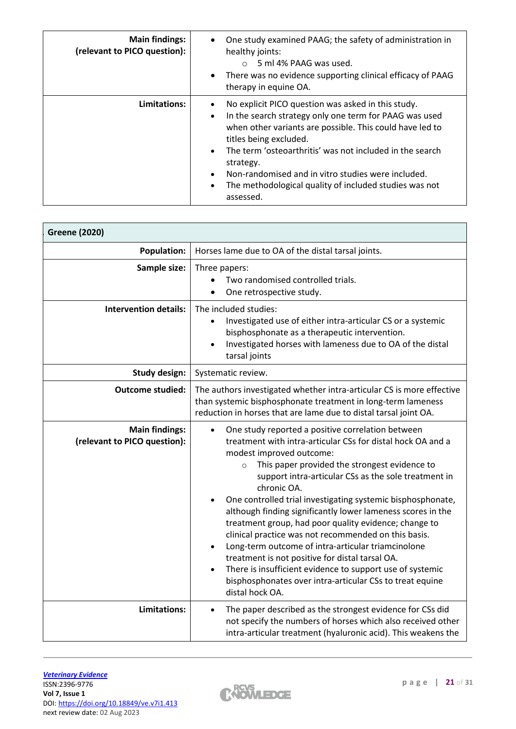| <b>Main findings:</b><br>(relevant to PICO question): | One study examined PAAG; the safety of administration in<br>healthy joints:<br>5 ml 4% PAAG was used.<br>$\cap$<br>There was no evidence supporting clinical efficacy of PAAG<br>therapy in equine OA.                                                                                                                                                                                                   |
|-------------------------------------------------------|----------------------------------------------------------------------------------------------------------------------------------------------------------------------------------------------------------------------------------------------------------------------------------------------------------------------------------------------------------------------------------------------------------|
| Limitations:                                          | No explicit PICO question was asked in this study.<br>In the search strategy only one term for PAAG was used<br>when other variants are possible. This could have led to<br>titles being excluded.<br>The term 'osteoarthritis' was not included in the search<br>strategy.<br>Non-randomised and in vitro studies were included.<br>The methodological quality of included studies was not<br>assessed. |

| <b>Population:</b>                                    | Horses lame due to OA of the distal tarsal joints.                                                                                                                                                                                                                                                                                                                                                                                                                                                                                                                                                                                                                                                                                                                                               |  |  |  |  |
|-------------------------------------------------------|--------------------------------------------------------------------------------------------------------------------------------------------------------------------------------------------------------------------------------------------------------------------------------------------------------------------------------------------------------------------------------------------------------------------------------------------------------------------------------------------------------------------------------------------------------------------------------------------------------------------------------------------------------------------------------------------------------------------------------------------------------------------------------------------------|--|--|--|--|
| Sample size:                                          | Three papers:<br>Two randomised controlled trials.<br>One retrospective study.                                                                                                                                                                                                                                                                                                                                                                                                                                                                                                                                                                                                                                                                                                                   |  |  |  |  |
| <b>Intervention details:</b>                          | The included studies:<br>Investigated use of either intra-articular CS or a systemic<br>bisphosphonate as a therapeutic intervention.<br>Investigated horses with lameness due to OA of the distal<br>tarsal joints                                                                                                                                                                                                                                                                                                                                                                                                                                                                                                                                                                              |  |  |  |  |
| <b>Study design:</b>                                  | Systematic review.                                                                                                                                                                                                                                                                                                                                                                                                                                                                                                                                                                                                                                                                                                                                                                               |  |  |  |  |
| <b>Outcome studied:</b>                               | The authors investigated whether intra-articular CS is more effective<br>than systemic bisphosphonate treatment in long-term lameness<br>reduction in horses that are lame due to distal tarsal joint OA.                                                                                                                                                                                                                                                                                                                                                                                                                                                                                                                                                                                        |  |  |  |  |
| <b>Main findings:</b><br>(relevant to PICO question): | One study reported a positive correlation between<br>$\bullet$<br>treatment with intra-articular CSs for distal hock OA and a<br>modest improved outcome:<br>This paper provided the strongest evidence to<br>$\circ$<br>support intra-articular CSs as the sole treatment in<br>chronic OA.<br>One controlled trial investigating systemic bisphosphonate,<br>although finding significantly lower lameness scores in the<br>treatment group, had poor quality evidence; change to<br>clinical practice was not recommended on this basis.<br>Long-term outcome of intra-articular triamcinolone<br>treatment is not positive for distal tarsal OA.<br>There is insufficient evidence to support use of systemic<br>bisphosphonates over intra-articular CSs to treat equine<br>distal hock OA. |  |  |  |  |
| <b>Limitations:</b>                                   | The paper described as the strongest evidence for CSs did<br>$\bullet$<br>not specify the numbers of horses which also received other<br>intra-articular treatment (hyaluronic acid). This weakens the                                                                                                                                                                                                                                                                                                                                                                                                                                                                                                                                                                                           |  |  |  |  |

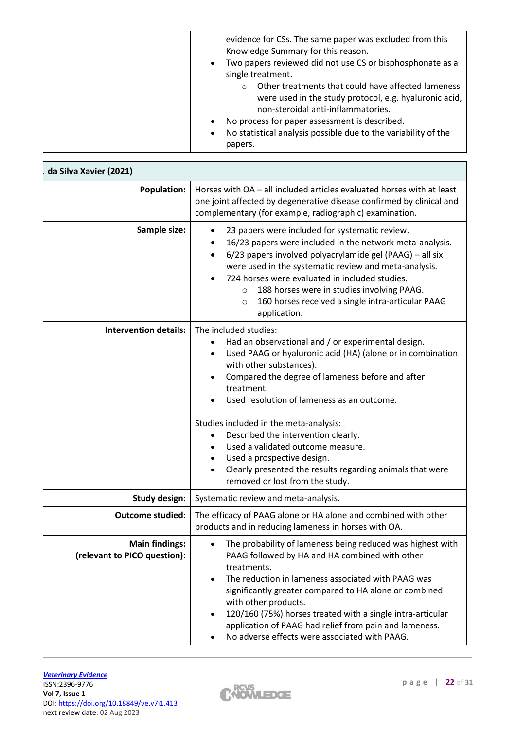| evidence for CSs. The same paper was excluded from this<br>Knowledge Summary for this reason.<br>Two papers reviewed did not use CS or bisphosphonate as a<br>$\bullet$<br>single treatment.<br>Other treatments that could have affected lameness<br>$\circ$<br>were used in the study protocol, e.g. hyaluronic acid,<br>non-steroidal anti-inflammatories.<br>No process for paper assessment is described.<br>$\bullet$<br>No statistical analysis possible due to the variability of the<br>$\bullet$ |
|------------------------------------------------------------------------------------------------------------------------------------------------------------------------------------------------------------------------------------------------------------------------------------------------------------------------------------------------------------------------------------------------------------------------------------------------------------------------------------------------------------|
| papers.                                                                                                                                                                                                                                                                                                                                                                                                                                                                                                    |

| da Silva Xavier (2021)                                |                                                                                                                                                                                                                                                                                                                                                                                                                                                             |  |  |  |  |
|-------------------------------------------------------|-------------------------------------------------------------------------------------------------------------------------------------------------------------------------------------------------------------------------------------------------------------------------------------------------------------------------------------------------------------------------------------------------------------------------------------------------------------|--|--|--|--|
| <b>Population:</b>                                    | Horses with OA - all included articles evaluated horses with at least<br>one joint affected by degenerative disease confirmed by clinical and<br>complementary (for example, radiographic) examination.                                                                                                                                                                                                                                                     |  |  |  |  |
| Sample size:                                          | 23 papers were included for systematic review.<br>$\bullet$<br>16/23 papers were included in the network meta-analysis.<br>$\bullet$<br>6/23 papers involved polyacrylamide gel (PAAG) - all six<br>$\bullet$<br>were used in the systematic review and meta-analysis.<br>724 horses were evaluated in included studies.<br>188 horses were in studies involving PAAG.<br>$\circ$<br>160 horses received a single intra-articular PAAG<br>O<br>application. |  |  |  |  |
| <b>Intervention details:</b>                          | The included studies:<br>Had an observational and / or experimental design.<br>Used PAAG or hyaluronic acid (HA) (alone or in combination<br>with other substances).<br>Compared the degree of lameness before and after<br>$\bullet$<br>treatment.<br>Used resolution of lameness as an outcome.<br>Studies included in the meta-analysis:<br>Described the intervention clearly.<br>$\bullet$                                                             |  |  |  |  |
|                                                       | Used a validated outcome measure.<br>Used a prospective design.<br>$\bullet$<br>Clearly presented the results regarding animals that were<br>$\bullet$<br>removed or lost from the study.                                                                                                                                                                                                                                                                   |  |  |  |  |
| <b>Study design:</b>                                  | Systematic review and meta-analysis.                                                                                                                                                                                                                                                                                                                                                                                                                        |  |  |  |  |
| <b>Outcome studied:</b>                               | The efficacy of PAAG alone or HA alone and combined with other<br>products and in reducing lameness in horses with OA.                                                                                                                                                                                                                                                                                                                                      |  |  |  |  |
| <b>Main findings:</b><br>(relevant to PICO question): | The probability of lameness being reduced was highest with<br>PAAG followed by HA and HA combined with other<br>treatments.<br>The reduction in lameness associated with PAAG was<br>$\bullet$<br>significantly greater compared to HA alone or combined<br>with other products.<br>120/160 (75%) horses treated with a single intra-articular<br>application of PAAG had relief from pain and lameness.<br>No adverse effects were associated with PAAG.   |  |  |  |  |

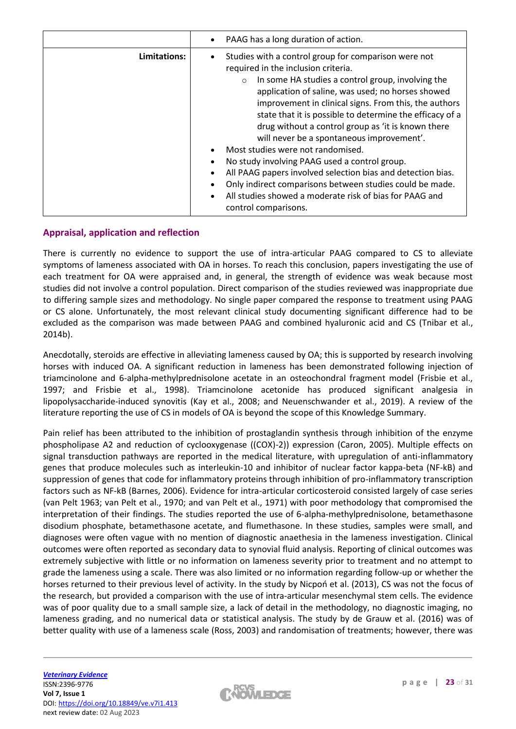|              | PAAG has a long duration of action.                                                                                                                                                                                                                                                                                                                                                                                                                                                                                                                                                                                                                                                                                                          |  |  |  |
|--------------|----------------------------------------------------------------------------------------------------------------------------------------------------------------------------------------------------------------------------------------------------------------------------------------------------------------------------------------------------------------------------------------------------------------------------------------------------------------------------------------------------------------------------------------------------------------------------------------------------------------------------------------------------------------------------------------------------------------------------------------------|--|--|--|
| Limitations: | Studies with a control group for comparison were not<br>required in the inclusion criteria.<br>In some HA studies a control group, involving the<br>$\circ$<br>application of saline, was used; no horses showed<br>improvement in clinical signs. From this, the authors<br>state that it is possible to determine the efficacy of a<br>drug without a control group as 'it is known there<br>will never be a spontaneous improvement'.<br>Most studies were not randomised.<br>No study involving PAAG used a control group.<br>All PAAG papers involved selection bias and detection bias.<br>Only indirect comparisons between studies could be made.<br>All studies showed a moderate risk of bias for PAAG and<br>control comparisons. |  |  |  |

## **Appraisal, application and reflection**

There is currently no evidence to support the use of intra-articular PAAG compared to CS to alleviate symptoms of lameness associated with OA in horses. To reach this conclusion, papers investigating the use of each treatment for OA were appraised and, in general, the strength of evidence was weak because most studies did not involve a control population. Direct comparison of the studies reviewed was inappropriate due to differing sample sizes and methodology. No single paper compared the response to treatment using PAAG or CS alone. Unfortunately, the most relevant clinical study documenting significant difference had to be excluded as the comparison was made between PAAG and combined hyaluronic acid and CS (Tnibar et al., 2014b).

Anecdotally, steroids are effective in alleviating lameness caused by OA; this is supported by research involving horses with induced OA. A significant reduction in lameness has been demonstrated following injection of triamcinolone and 6-alpha-methylprednisolone acetate in an osteochondral fragment model (Frisbie et al., 1997; and Frisbie et al., 1998). Triamcinolone acetonide has produced significant analgesia in lipopolysaccharide-induced synovitis (Kay et al., 2008; and Neuenschwander et al., 2019). A review of the literature reporting the use of CS in models of OA is beyond the scope of this Knowledge Summary.

Pain relief has been attributed to the inhibition of prostaglandin synthesis through inhibition of the enzyme phospholipase A2 and reduction of cyclooxygenase ((COX)-2)) expression (Caron, 2005). Multiple effects on signal transduction pathways are reported in the medical literature, with upregulation of anti-inflammatory genes that produce molecules such as interleukin-10 and inhibitor of nuclear factor kappa-beta (NF-kB) and suppression of genes that code for inflammatory proteins through inhibition of pro-inflammatory transcription factors such as NF-kB (Barnes, 2006). Evidence for intra-articular corticosteroid consisted largely of case series (van Pelt 1963; van Pelt et al., 1970; and van Pelt et al., 1971) with poor methodology that compromised the interpretation of their findings. The studies reported the use of 6-alpha-methylprednisolone, betamethasone disodium phosphate, betamethasone acetate, and flumethasone. In these studies, samples were small, and diagnoses were often vague with no mention of diagnostic anaethesia in the lameness investigation. Clinical outcomes were often reported as secondary data to synovial fluid analysis. Reporting of clinical outcomes was extremely subjective with little or no information on lameness severity prior to treatment and no attempt to grade the lameness using a scale. There was also limited or no information regarding follow-up or whether the horses returned to their previous level of activity. In the study by Nicpoń et al. (2013), CS was not the focus of the research, but provided a comparison with the use of intra-articular mesenchymal stem cells. The evidence was of poor quality due to a small sample size, a lack of detail in the methodology, no diagnostic imaging, no lameness grading, and no numerical data or statistical analysis. The study by de Grauw et al. (2016) was of better quality with use of a lameness scale (Ross, 2003) and randomisation of treatments; however, there was

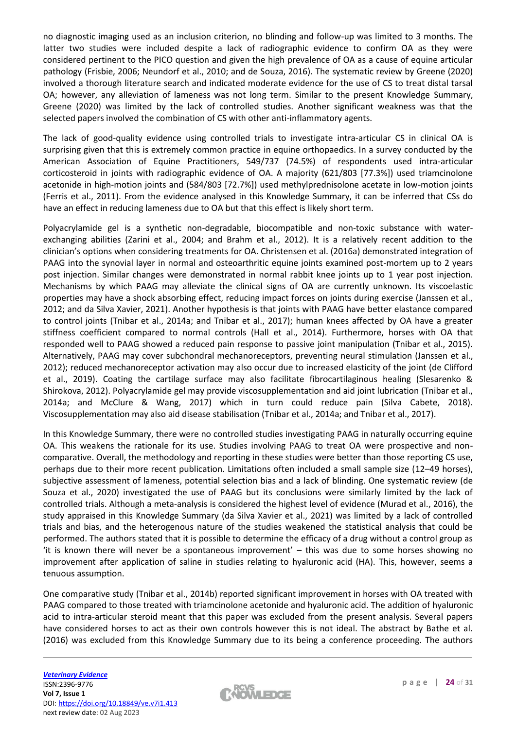no diagnostic imaging used as an inclusion criterion, no blinding and follow-up was limited to 3 months. The latter two studies were included despite a lack of radiographic evidence to confirm OA as they were considered pertinent to the PICO question and given the high prevalence of OA as a cause of equine articular pathology (Frisbie, 2006; Neundorf et al., 2010; and de Souza, 2016). The systematic review by Greene (2020) involved a thorough literature search and indicated moderate evidence for the use of CS to treat distal tarsal OA; however, any alleviation of lameness was not long term. Similar to the present Knowledge Summary, Greene (2020) was limited by the lack of controlled studies. Another significant weakness was that the selected papers involved the combination of CS with other anti-inflammatory agents.

The lack of good-quality evidence using controlled trials to investigate intra-articular CS in clinical OA is surprising given that this is extremely common practice in equine orthopaedics. In a survey conducted by the American Association of Equine Practitioners, 549/737 (74.5%) of respondents used intra-articular corticosteroid in joints with radiographic evidence of OA. A majority (621/803 [77.3%]) used triamcinolone acetonide in high-motion joints and (584/803 [72.7%]) used methylprednisolone acetate in low-motion joints (Ferris et al., 2011). From the evidence analysed in this Knowledge Summary, it can be inferred that CSs do have an effect in reducing lameness due to OA but that this effect is likely short term.

Polyacrylamide gel is a synthetic non-degradable, biocompatible and non-toxic substance with waterexchanging abilities (Zarini et al., 2004; and Brahm et al., 2012). It is a relatively recent addition to the clinician's options when considering treatments for OA. Christensen et al. (2016a) demonstrated integration of PAAG into the synovial layer in normal and osteoarthritic equine joints examined post-mortem up to 2 years post injection. Similar changes were demonstrated in normal rabbit knee joints up to 1 year post injection. Mechanisms by which PAAG may alleviate the clinical signs of OA are currently unknown. Its viscoelastic properties may have a shock absorbing effect, reducing impact forces on joints during exercise (Janssen et al., 2012; and da Silva Xavier, 2021). Another hypothesis is that joints with PAAG have better elastance compared to control joints (Tnibar et al., 2014a; and Tnibar et al., 2017); human knees affected by OA have a greater stiffness coefficient compared to normal controls (Hall et al., 2014). Furthermore, horses with OA that responded well to PAAG showed a reduced pain response to passive joint manipulation (Tnibar et al., 2015). Alternatively, PAAG may cover subchondral mechanoreceptors, preventing neural stimulation (Janssen et al., 2012); reduced mechanoreceptor activation may also occur due to increased elasticity of the joint (de Clifford et al., 2019). Coating the cartilage surface may also facilitate fibrocartilaginous healing (Slesarenko & Shirokova, 2012). Polyacrylamide gel may provide viscosupplementation and aid joint lubrication (Tnibar et al., 2014a; and McClure & Wang, 2017) which in turn could reduce pain (Silva Cabete, 2018). Viscosupplementation may also aid disease stabilisation (Tnibar et al., 2014a; and Tnibar et al., 2017).

In this Knowledge Summary, there were no controlled studies investigating PAAG in naturally occurring equine OA. This weakens the rationale for its use. Studies involving PAAG to treat OA were prospective and noncomparative. Overall, the methodology and reporting in these studies were better than those reporting CS use, perhaps due to their more recent publication. Limitations often included a small sample size (12–49 horses), subjective assessment of lameness, potential selection bias and a lack of blinding. One systematic review (de Souza et al., 2020) investigated the use of PAAG but its conclusions were similarly limited by the lack of controlled trials. Although a meta-analysis is considered the highest level of evidence (Murad et al., 2016), the study appraised in this Knowledge Summary (da Silva Xavier et al., 2021) was limited by a lack of controlled trials and bias, and the heterogenous nature of the studies weakened the statistical analysis that could be performed. The authors stated that it is possible to determine the efficacy of a drug without a control group as 'it is known there will never be a spontaneous improvement' – this was due to some horses showing no improvement after application of saline in studies relating to hyaluronic acid (HA). This, however, seems a tenuous assumption.

One comparative study (Tnibar et al., 2014b) reported significant improvement in horses with OA treated with PAAG compared to those treated with triamcinolone acetonide and hyaluronic acid. The addition of hyaluronic acid to intra-articular steroid meant that this paper was excluded from the present analysis. Several papers have considered horses to act as their own controls however this is not ideal. The abstract by Bathe et al. (2016) was excluded from this Knowledge Summary due to its being a conference proceeding. The authors

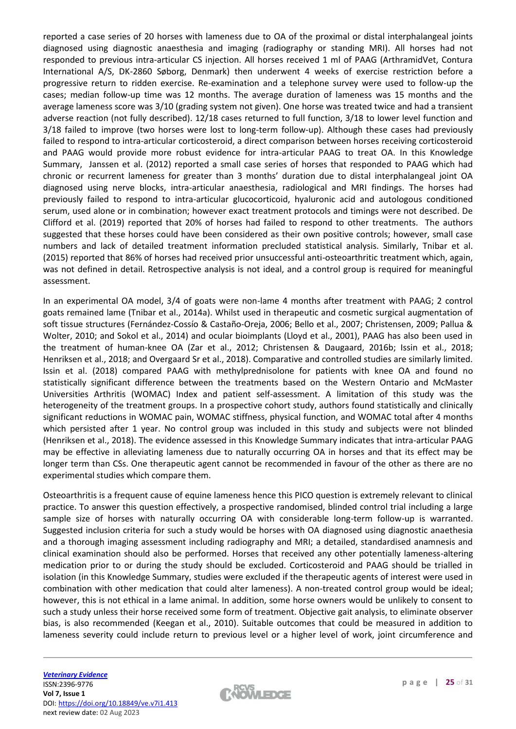reported a case series of 20 horses with lameness due to OA of the proximal or distal interphalangeal joints diagnosed using diagnostic anaesthesia and imaging (radiography or standing MRI). All horses had not responded to previous intra-articular CS injection. All horses received 1 ml of PAAG (ArthramidVet, Contura International A/S, DK-2860 Søborg, Denmark) then underwent 4 weeks of exercise restriction before a progressive return to ridden exercise. Re-examination and a telephone survey were used to follow-up the cases; median follow-up time was 12 months. The average duration of lameness was 15 months and the average lameness score was 3/10 (grading system not given). One horse was treated twice and had a transient adverse reaction (not fully described). 12/18 cases returned to full function, 3/18 to lower level function and 3/18 failed to improve (two horses were lost to long-term follow-up). Although these cases had previously failed to respond to intra-articular corticosteroid, a direct comparison between horses receiving corticosteroid and PAAG would provide more robust evidence for intra-articular PAAG to treat OA. In this Knowledge Summary, Janssen et al. (2012) reported a small case series of horses that responded to PAAG which had chronic or recurrent lameness for greater than 3 months' duration due to distal interphalangeal joint OA diagnosed using nerve blocks, intra-articular anaesthesia, radiological and MRI findings. The horses had previously failed to respond to intra-articular glucocorticoid, hyaluronic acid and autologous conditioned serum, used alone or in combination; however exact treatment protocols and timings were not described. De Clifford et al. (2019) reported that 20% of horses had failed to respond to other treatments. The authors suggested that these horses could have been considered as their own positive controls; however, small case numbers and lack of detailed treatment information precluded statistical analysis. Similarly, Tnibar et al. (2015) reported that 86% of horses had received prior unsuccessful anti-osteoarthritic treatment which, again, was not defined in detail. Retrospective analysis is not ideal, and a control group is required for meaningful assessment.

In an experimental OA model, 3/4 of goats were non-lame 4 months after treatment with PAAG; 2 control goats remained lame (Tnibar et al., 2014a). Whilst used in therapeutic and cosmetic surgical augmentation of soft tissue structures (Fernández-Cossío & Castaño-Oreja, 2006; Bello et al., 2007; Christensen, 2009; Pallua & Wolter, 2010; and Sokol et al., 2014) and ocular bioimplants (Lloyd et al., 2001), PAAG has also been used in the treatment of human-knee OA (Zar et al., 2012; Christensen & Daugaard, 2016b; Issin et al., 2018; Henriksen et al., 2018; and Overgaard Sr et al., 2018). Comparative and controlled studies are similarly limited. Issin et al. (2018) compared PAAG with methylprednisolone for patients with knee OA and found no statistically significant difference between the treatments based on the Western Ontario and McMaster Universities Arthritis (WOMAC) Index and patient self-assessment. A limitation of this study was the heterogeneity of the treatment groups. In a prospective cohort study, authors found statistically and clinically significant reductions in WOMAC pain, WOMAC stiffness, physical function, and WOMAC total after 4 months which persisted after 1 year. No control group was included in this study and subjects were not blinded (Henriksen et al., 2018). The evidence assessed in this Knowledge Summary indicates that intra-articular PAAG may be effective in alleviating lameness due to naturally occurring OA in horses and that its effect may be longer term than CSs. One therapeutic agent cannot be recommended in favour of the other as there are no experimental studies which compare them.

Osteoarthritis is a frequent cause of equine lameness hence this PICO question is extremely relevant to clinical practice. To answer this question effectively, a prospective randomised, blinded control trial including a large sample size of horses with naturally occurring OA with considerable long-term follow-up is warranted. Suggested inclusion criteria for such a study would be horses with OA diagnosed using diagnostic anaethesia and a thorough imaging assessment including radiography and MRI; a detailed, standardised anamnesis and clinical examination should also be performed. Horses that received any other potentially lameness-altering medication prior to or during the study should be excluded. Corticosteroid and PAAG should be trialled in isolation (in this Knowledge Summary, studies were excluded if the therapeutic agents of interest were used in combination with other medication that could alter lameness). A non-treated control group would be ideal; however, this is not ethical in a lame animal. In addition, some horse owners would be unlikely to consent to such a study unless their horse received some form of treatment. Objective gait analysis, to eliminate observer bias, is also recommended (Keegan et al., 2010). Suitable outcomes that could be measured in addition to lameness severity could include return to previous level or a higher level of work, joint circumference and

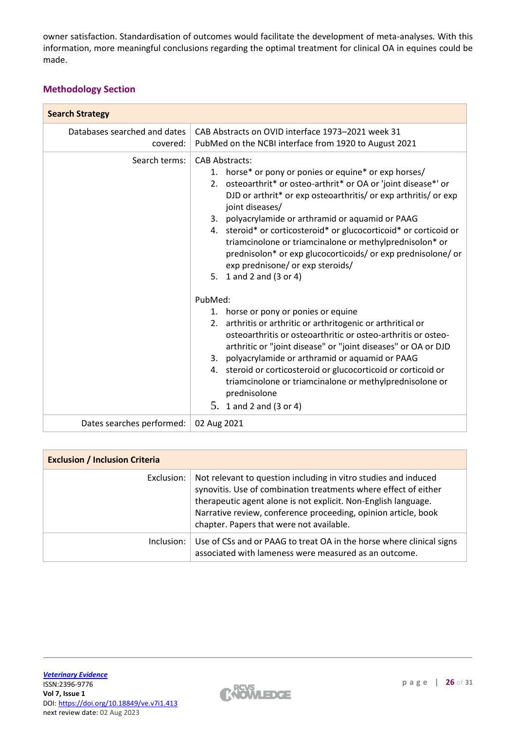owner satisfaction. Standardisation of outcomes would facilitate the development of meta-analyses. With this information, more meaningful conclusions regarding the optimal treatment for clinical OA in equines could be made.

## **Methodology Section**

| <b>Search Strategy</b>                   |                                                                                                                                                                                                                                                                                                                                                                                                                                                                                                                                                                |  |  |  |  |
|------------------------------------------|----------------------------------------------------------------------------------------------------------------------------------------------------------------------------------------------------------------------------------------------------------------------------------------------------------------------------------------------------------------------------------------------------------------------------------------------------------------------------------------------------------------------------------------------------------------|--|--|--|--|
| Databases searched and dates<br>covered: | CAB Abstracts on OVID interface 1973-2021 week 31<br>PubMed on the NCBI interface from 1920 to August 2021                                                                                                                                                                                                                                                                                                                                                                                                                                                     |  |  |  |  |
| Search terms:                            | <b>CAB Abstracts:</b><br>1. horse* or pony or ponies or equine* or exp horses/<br>2. osteoarthrit* or osteo-arthrit* or OA or 'joint disease*' or<br>DJD or arthrit* or exp osteoarthritis/ or exp arthritis/ or exp<br>joint diseases/<br>3. polyacrylamide or arthramid or aquamid or PAAG<br>4. steroid* or corticosteroid* or glucocorticoid* or corticoid or<br>triamcinolone or triamcinalone or methylprednisolon* or<br>prednisolon* or exp glucocorticoids/ or exp prednisolone/ or<br>exp prednisone/ or exp steroids/<br>1 and 2 and (3 or 4)<br>5. |  |  |  |  |
|                                          | PubMed:<br>1. horse or pony or ponies or equine<br>2. arthritis or arthritic or arthritogenic or arthritical or<br>osteoarthritis or osteoarthritic or osteo-arthritis or osteo-<br>arthritic or "joint disease" or "joint diseases" or OA or DJD<br>polyacrylamide or arthramid or aquamid or PAAG<br>3.<br>steroid or corticosteroid or glucocorticoid or corticoid or<br>4.<br>triamcinolone or triamcinalone or methylprednisolone or<br>prednisolone<br>5. 1 and 2 and $(3 or 4)$                                                                         |  |  |  |  |
| Dates searches performed:                | 02 Aug 2021                                                                                                                                                                                                                                                                                                                                                                                                                                                                                                                                                    |  |  |  |  |

| <b>Exclusion / Inclusion Criteria</b> |                                                                                                                                                                                                                                                                                                                    |  |  |
|---------------------------------------|--------------------------------------------------------------------------------------------------------------------------------------------------------------------------------------------------------------------------------------------------------------------------------------------------------------------|--|--|
| Exclusion:                            | Not relevant to question including in vitro studies and induced<br>synovitis. Use of combination treatments where effect of either<br>therapeutic agent alone is not explicit. Non-English language.<br>Narrative review, conference proceeding, opinion article, book<br>chapter. Papers that were not available. |  |  |
| Inclusion:                            | Use of CSs and or PAAG to treat OA in the horse where clinical signs<br>associated with lameness were measured as an outcome.                                                                                                                                                                                      |  |  |

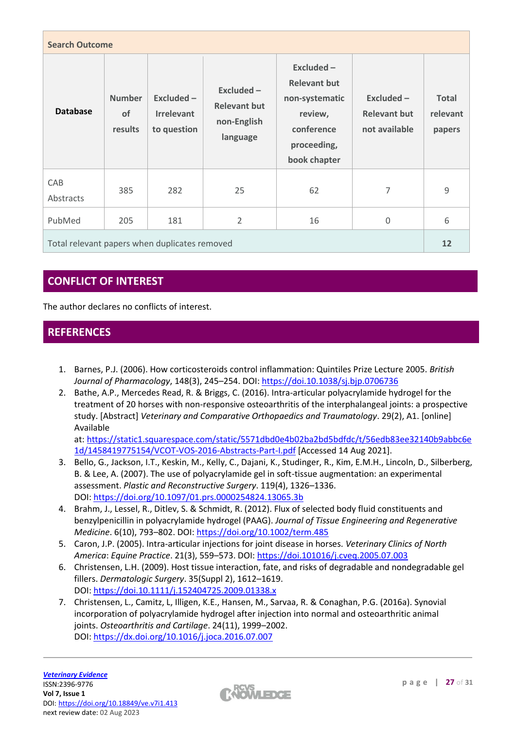| <b>Search Outcome</b>                         |                                       |                                                |                                                                |                                                                                                               |                                                      |                                    |
|-----------------------------------------------|---------------------------------------|------------------------------------------------|----------------------------------------------------------------|---------------------------------------------------------------------------------------------------------------|------------------------------------------------------|------------------------------------|
| <b>Database</b>                               | <b>Number</b><br><b>of</b><br>results | Excluded -<br><b>Irrelevant</b><br>to question | $Excluded -$<br><b>Relevant but</b><br>non-English<br>language | Excluded $-$<br><b>Relevant but</b><br>non-systematic<br>review,<br>conference<br>proceeding,<br>book chapter | $Excluded -$<br><b>Relevant but</b><br>not available | <b>Total</b><br>relevant<br>papers |
| CAB<br>Abstracts                              | 385                                   | 282                                            | 25                                                             | 62                                                                                                            | 7                                                    | 9                                  |
| PubMed                                        | 205                                   | 181                                            | $\overline{2}$                                                 | 16                                                                                                            | 0                                                    | 6                                  |
| Total relevant papers when duplicates removed |                                       |                                                |                                                                | 12                                                                                                            |                                                      |                                    |

# **CONFLICT OF INTEREST**

The author declares no conflicts of interest.

# **REFERENCES**

- 1. Barnes, P.J. (2006). How corticosteroids control inflammation: Quintiles Prize Lecture 2005. *British Journal of Pharmacology*, 148(3), 245–254. DOI: <https://doi.10.1038/sj.bjp.0706736>
- 2. Bathe, A.P., Mercedes Read, R. & Briggs, C. (2016). Intra-articular polyacrylamide hydrogel for the treatment of 20 horses with non-responsive osteoarthritis of the interphalangeal joints: a prospective study. [Abstract] *Veterinary and Comparative Orthopaedics and Traumatology*. 29(2), A1. [online] Available

at: [https://static1.squarespace.com/static/5571dbd0e4b02ba2bd5bdfdc/t/56edb83ee32140b9abbc6e](https://static1.squarespace.com/static/5571dbd0e4b02ba2bd5bdfdc/t/56edb83ee32140b9abbc6e1d/1458419775154/VCOT-VOS-2016-Abstracts-Part-I.pdf) [1d/1458419775154/VCOT-VOS-2016-Abstracts-Part-I.pdf](https://static1.squarespace.com/static/5571dbd0e4b02ba2bd5bdfdc/t/56edb83ee32140b9abbc6e1d/1458419775154/VCOT-VOS-2016-Abstracts-Part-I.pdf) [Accessed 14 Aug 2021].

- 3. Bello, G., Jackson, I.T., Keskin, M., Kelly, C., Dajani, K., Studinger, R., Kim, E.M.H., Lincoln, D., Silberberg, B. & Lee, A. (2007). The use of polyacrylamide gel in soft-tissue augmentation: an experimental assessment. *Plastic and Reconstructive Surgery*. 119(4), 1326–1336. DOI: <https://doi.org/10.1097/01.prs.0000254824.13065.3b>
- 4. Brahm, J., Lessel, R., Ditlev, S. & Schmidt, R. (2012). Flux of selected body fluid constituents and benzylpenicillin in polyacrylamide hydrogel (PAAG). *Journal of Tissue Engineering and Regenerative Medicine*. 6(10), 793–802. DOI: <https://doi.org/10.1002/term.485>
- 5. Caron, J.P. (2005). Intra-articular injections for joint disease in horses. *Veterinary Clinics of North America*: *Equine Practice*. 21(3), 559–573. DOI: <https://doi.101016/j.cveq.2005.07.003>
- 6. Christensen, L.H. (2009). Host tissue interaction, fate, and risks of degradable and nondegradable gel fillers. *Dermatologic Surgery*. 35(Suppl 2), 1612–1619. DOI: <https://doi.10.1111/j.152404725.2009.01338.x>
- 7. Christensen, L., Camitz, L, Illigen, K.E., Hansen, M., Sarvaa, R. & Conaghan, P.G. (2016a). Synovial incorporation of polyacrylamide hydrogel after injection into normal and osteoarthritic animal joints. *Osteoarthritis and Cartilage*. 24(11), 1999–2002. DOI: <https://dx.doi.org/10.1016/j.joca.2016.07.007>

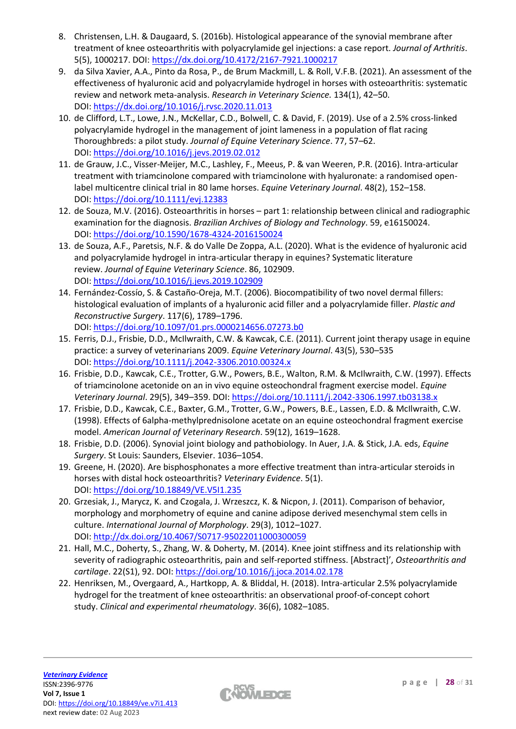- 8. Christensen, L.H. & Daugaard, S. (2016b). Histological appearance of the synovial membrane after treatment of knee osteoarthritis with polyacrylamide gel injections: a case report. *Journal of Arthritis*. 5(5), 1000217. DOI: <https://dx.doi.org/10.4172/2167-7921.1000217>
- 9. da Silva Xavier, A.A., Pinto da Rosa, P., de Brum Mackmill, L. & Roll, V.F.B. (2021). An assessment of the effectiveness of hyaluronic acid and polyacrylamide hydrogel in horses with osteoarthritis: systematic review and network meta-analysis. *Research in Veterinary Science.* 134(1), 42–50. DOI: <https://dx.doi.org/10.1016/j.rvsc.2020.11.013>
- 10. de Clifford, L.T., Lowe, J.N., McKellar, C.D., Bolwell, C. & David, F. (2019). Use of a 2.5% cross-linked polyacrylamide hydrogel in the management of joint lameness in a population of flat racing Thoroughbreds: a pilot study. *Journal of Equine Veterinary Science*. 77, 57–62. DOI: <https://doi.org/10.1016/j.jevs.2019.02.012>
- 11. de Grauw, J.C., Visser-Meijer, M.C., Lashley, F., Meeus, P. & van Weeren, P.R. (2016). Intra-articular treatment with triamcinolone compared with triamcinolone with hyaluronate: a randomised openlabel multicentre clinical trial in 80 lame horses. *Equine Veterinary Journal*. 48(2), 152–158. DOI: <https://doi.org/10.1111/evj.12383>
- 12. de Souza, M.V. (2016). Osteoarthritis in horses part 1: relationship between clinical and radiographic examination for the diagnosis. *Brazilian Archives of Biology and Technology*. 59, e16150024. DOI: <https://doi.org/10.1590/1678-4324-2016150024>
- 13. de Souza, A.F., Paretsis, N.F. & do Valle De Zoppa, A.L. (2020). What is the evidence of hyaluronic acid and polyacrylamide hydrogel in intra-articular therapy in equines? Systematic literature review. *Journal of Equine Veterinary Science*. 86, 102909. DOI: <https://doi.org/10.1016/j.jevs.2019.102909>
- 14. Fernández-Cossío, S. & Castaño-Oreja, M.T. (2006). Biocompatibility of two novel dermal fillers: histological evaluation of implants of a hyaluronic acid filler and a polyacrylamide filler. *Plastic and Reconstructive Surgery*. 117(6), 1789–1796. DOI: <https://doi.org/10.1097/01.prs.0000214656.07273.b0>
- 15. Ferris, D.J., Frisbie, D.D., McIlwraith, C.W. & Kawcak, C.E. (2011). Current joint therapy usage in equine practice: a survey of veterinarians 2009. *Equine Veterinary Journal*. 43(5), 530–535 DOI: <https://doi.org/10.1111/j.2042-3306.2010.00324.x>
- 16. Frisbie, D.D., Kawcak, C.E., Trotter, G.W., Powers, B.E., Walton, R.M. & McIlwraith, C.W. (1997). Effects of triamcinolone acetonide on an in vivo equine osteochondral fragment exercise model. *Equine Veterinary Journal*. 29(5), 349–359. DOI: <https://doi.org/10.1111/j.2042-3306.1997.tb03138.x>
- 17. Frisbie, D.D., Kawcak, C.E., Baxter, G.M., Trotter, G.W., Powers, B.E., Lassen, E.D. & McIlwraith, C.W. (1998). Effects of 6alpha-methylprednisolone acetate on an equine osteochondral fragment exercise model. *American Journal of Veterinary Research*. 59(12), 1619–1628.
- 18. Frisbie, D.D. (2006). Synovial joint biology and pathobiology. In Auer, J.A. & Stick, J.A. eds, *Equine Surgery*. St Louis: Saunders, Elsevier. 1036–1054.
- 19. Greene, H. (2020). Are bisphosphonates a more effective treatment than intra-articular steroids in horses with distal hock osteoarthritis? *Veterinary Evidence*. 5(1). DOI: <https://doi.org/10.18849/VE.V5I1.235>
- 20. Grzesiak, J., Marycz, K. and Czogala, J. Wrzeszcz, K. & Nicpon, J. (2011). Comparison of behavior, morphology and morphometry of equine and canine adipose derived mesenchymal stem cells in culture. *International Journal of Morphology*. 29(3), 1012–1027. DOI: <http://dx.doi.org/10.4067/S0717-95022011000300059>
- 21. Hall, M.C., Doherty, S., Zhang, W. & Doherty, M. (2014). Knee joint stiffness and its relationship with severity of radiographic osteoarthritis, pain and self-reported stiffness. [Abstract]', *Osteoarthritis and cartilage*. 22(S1), 92. DOI: <https://doi.org/10.1016/j.joca.2014.02.178>
- 22. Henriksen, M., Overgaard, A., Hartkopp, A. & Bliddal, H. (2018). Intra-articular 2.5% polyacrylamide hydrogel for the treatment of knee osteoarthritis: an observational proof-of-concept cohort study. *Clinical and experimental rheumatology*. 36(6), 1082–1085.

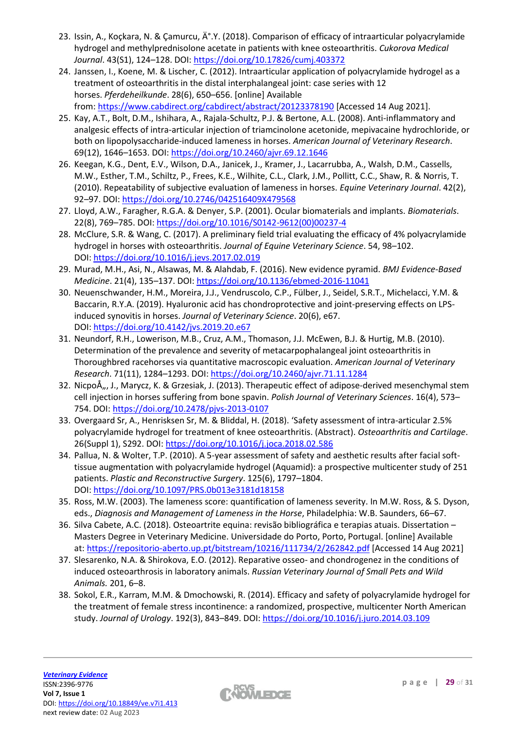- 23. Issin, A., Kockara, N. & Camurcu, İ.Y. (2018). Comparison of efficacy of intraarticular polyacrylamide hydrogel and methylprednisolone acetate in patients with knee osteoarthritis. *Cukorova Medical Journal*. 43(S1), 124–128. DOI: <https://doi.org/10.17826/cumj.403372>
- 24. Janssen, I., Koene, M. & Lischer, C. (2012). Intraarticular application of polyacrylamide hydrogel as a treatment of osteoarthritis in the distal interphalangeal joint: case series with 12 horses. *Pferdeheilkunde*. 28(6), 650–656. [online] Available from: <https://www.cabdirect.org/cabdirect/abstract/20123378190> [Accessed 14 Aug 2021].
- 25. Kay, A.T., Bolt, D.M., Ishihara, A., Rajala-Schultz, P.J. & Bertone, A.L. (2008). Anti-inflammatory and analgesic effects of intra-articular injection of triamcinolone acetonide, mepivacaine hydrochloride, or both on lipopolysaccharide-induced lameness in horses. *American Journal of Veterinary Research*. 69(12), 1646–1653. DOI: <https://doi.org/10.2460/ajvr.69.12.1646>
- 26. Keegan, K.G., Dent, E.V., Wilson, D.A., Janicek, J., Kramer, J., Lacarrubba, A., Walsh, D.M., Cassells, M.W., Esther, T.M., Schiltz, P., Frees, K.E., Wilhite, C.L., Clark, J.M., Pollitt, C.C., Shaw, R. & Norris, T. (2010). Repeatability of subjective evaluation of lameness in horses. *Equine Veterinary Journal*. 42(2), 92–97. DOI: <https://doi.org/10.2746/042516409X479568>
- 27. Lloyd, A.W., Faragher, R.G.A. & Denyer, S.P. (2001). Ocular biomaterials and implants. *Biomaterials*. 22(8), 769–785. DOI: [https://doi.org/10.1016/S0142-9612\(00\)00237-4](https://doi.org/10.1016/S0142-9612(00)00237-4)
- 28. McClure, S.R. & Wang, C. (2017). A preliminary field trial evaluating the efficacy of 4% polyacrylamide hydrogel in horses with osteoarthritis. *Journal of Equine Veterinary Science*. 54, 98–102. DOI: <https://doi.org/10.1016/j.jevs.2017.02.019>
- 29. Murad, M.H., Asi, N., Alsawas, M. & Alahdab, F. (2016). New evidence pyramid. *BMJ Evidence-Based Medicine*. 21(4), 135–137. DOI: <https://doi.org/10.1136/ebmed-2016-11041>
- 30. Neuenschwander, H.M., Moreira, J.J., Vendruscolo, C.P., Fülber, J., Seidel, S.R.T., Michelacci, Y.M. & Baccarin, R.Y.A. (2019). Hyaluronic acid has chondroprotective and joint-preserving effects on LPSinduced synovitis in horses. *Journal of Veterinary Science*. 20(6), e67. DOI: [https://doi.org/10.4142/jvs.2019.20.e67](https://doi.org/10.4142/jvs.2019.20.e67%0d)
- 31. Neundorf, R.H., Lowerison, M.B., Cruz, A.M., Thomason, J.J. McEwen, B.J. & Hurtig, M.B. (2010). Determination of the prevalence and severity of metacarpophalangeal joint osteoarthritis in Thoroughbred racehorses via quantitative macroscopic evaluation. *American Journal of Veterinary Research*. 71(11), 1284–1293. DOI: <https://doi.org/10.2460/ajvr.71.11.1284>
- 32. NicpoÅ,,, J., Marycz, K. & Grzesiak, J. (2013). Therapeutic effect of adipose-derived mesenchymal stem cell injection in horses suffering from bone spavin. *Polish Journal of Veterinary Sciences*. 16(4), 573– 754. DOI: <https://doi.org/10.2478/pjvs-2013-0107>
- 33. Overgaard Sr, A., Henrisksen Sr, M. & Bliddal, H. (2018). 'Safety assessment of intra-articular 2.5% polyacrylamide hydrogel for treatment of knee osteoarthritis. (Abstract). *Osteoarthritis and Cartilage*. 26(Suppl 1), S292. DOI: <https://doi.org/10.1016/j.joca.2018.02.586>
- 34. Pallua, N. & Wolter, T.P. (2010). A 5-year assessment of safety and aesthetic results after facial softtissue augmentation with polyacrylamide hydrogel (Aquamid): a prospective multicenter study of 251 patients. *Plastic and Reconstructive Surgery*. 125(6), 1797–1804. DOI: <https://doi.org/10.1097/PRS.0b013e3181d18158>
- 35. Ross, M.W. (2003). The lameness score: quantification of lameness severity. In M.W. Ross, & S. Dyson, eds., *Diagnosis and Management of Lameness in the Horse*, Philadelphia: W.B. Saunders, 66–67.
- 36. Silva Cabete, A.C. (2018). Osteoartrite equina: revisão bibliográfica e terapias atuais. Dissertation Masters Degree in Veterinary Medicine. Universidade do Porto, Porto, Portugal. [online] Available at: <https://repositorio-aberto.up.pt/bitstream/10216/111734/2/262842.pdf> [Accessed 14 Aug 2021]
- 37. Slesarenko, N.A. & Shirokova, E.O. (2012). Reparative osseo- and chondrogenez in the conditions of induced osteoarthrosis in laboratory animals. *Russian Veterinary Journal of Small Pets and Wild Animals.* 201, 6–8.
- 38. Sokol, E.R., Karram, M.M. & Dmochowski, R. (2014). Efficacy and safety of polyacrylamide hydrogel for the treatment of female stress incontinence: a randomized, prospective, multicenter North American study. *Journal of Urology*. 192(3), 843–849. DOI: <https://doi.org/10.1016/j.juro.2014.03.109>

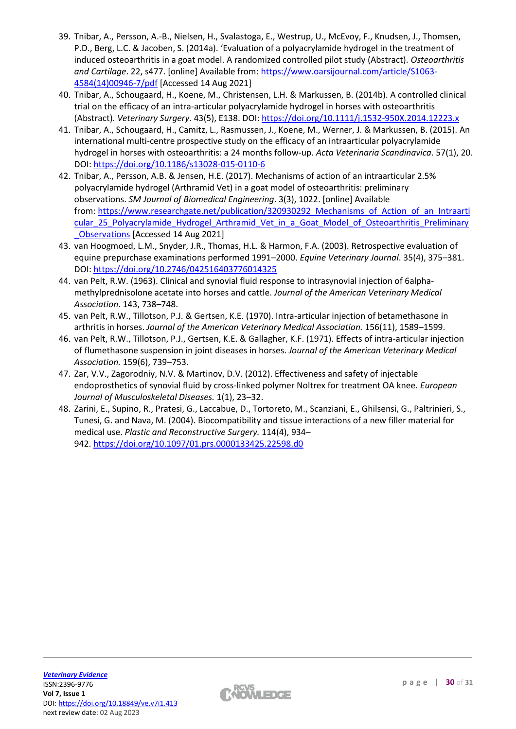- 39. Tnibar, A., Persson, A.-B., Nielsen, H., Svalastoga, E., Westrup, U., McEvoy, F., Knudsen, J., Thomsen, P.D., Berg, L.C. & Jacoben, S. (2014a). 'Evaluation of a polyacrylamide hydrogel in the treatment of induced osteoarthritis in a goat model. A randomized controlled pilot study (Abstract). *Osteoarthritis and Cartilage*. 22, s477. [online] Available from: [https://www.oarsijournal.com/article/S1063-](https://www.oarsijournal.com/article/S1063-4584(14)00946-7/pdf) [4584\(14\)00946-7/pdf](https://www.oarsijournal.com/article/S1063-4584(14)00946-7/pdf) [Accessed 14 Aug 2021]
- 40. Tnibar, A., Schougaard, H., Koene, M., Christensen, L.H. & Markussen, B. (2014b). A controlled clinical trial on the efficacy of an intra-articular polyacrylamide hydrogel in horses with osteoarthritis (Abstract). *Veterinary Surgery*. 43(5), E138. DOI: <https://doi.org/10.1111/j.1532-950X.2014.12223.x>
- 41. Tnibar, A., Schougaard, H., Camitz, L., Rasmussen, J., Koene, M., Werner, J. & Markussen, B. (2015). An international multi-centre prospective study on the efficacy of an intraarticular polyacrylamide hydrogel in horses with osteoarthritis: a 24 months follow-up. *Acta Veterinaria Scandinavica*. 57(1), 20. DOI: <https://doi.org/10.1186/s13028-015-0110-6>
- 42. Tnibar, A., Persson, A.B. & Jensen, H.E. (2017). Mechanisms of action of an intraarticular 2.5% polyacrylamide hydrogel (Arthramid Vet) in a goat model of osteoarthritis: preliminary observations. *SM Journal of Biomedical Engineering*. 3(3), 1022. [online] Available from: [https://www.researchgate.net/publication/320930292\\_Mechanisms\\_of\\_Action\\_of\\_an\\_Intraarti](https://www.researchgate.net/publication/320930292_Mechanisms_of_Action_of_an_Intraarticular_25_Polyacrylamide_Hydrogel_Arthramid_Vet_in_a_Goat_Model_of_Osteoarthritis_Preliminary_Observations) [cular\\_25\\_Polyacrylamide\\_Hydrogel\\_Arthramid\\_Vet\\_in\\_a\\_Goat\\_Model\\_of\\_Osteoarthritis\\_Preliminary](https://www.researchgate.net/publication/320930292_Mechanisms_of_Action_of_an_Intraarticular_25_Polyacrylamide_Hydrogel_Arthramid_Vet_in_a_Goat_Model_of_Osteoarthritis_Preliminary_Observations) [\\_Observations](https://www.researchgate.net/publication/320930292_Mechanisms_of_Action_of_an_Intraarticular_25_Polyacrylamide_Hydrogel_Arthramid_Vet_in_a_Goat_Model_of_Osteoarthritis_Preliminary_Observations) [Accessed 14 Aug 2021]
- 43. van Hoogmoed, L.M., Snyder, J.R., Thomas, H.L. & Harmon, F.A. (2003). Retrospective evaluation of equine prepurchase examinations performed 1991–2000. *Equine Veterinary Journal*. 35(4), 375–381. DOI: <https://doi.org/10.2746/042516403776014325>
- 44. van Pelt, R.W. (1963). Clinical and synovial fluid response to intrasynovial injection of 6alphamethylprednisolone acetate into horses and cattle. *Journal of the American Veterinary Medical Association*. 143, 738–748.
- 45. van Pelt, R.W., Tillotson, P.J. & Gertsen, K.E. (1970). Intra-articular injection of betamethasone in arthritis in horses. *Journal of the American Veterinary Medical Association.* 156(11), 1589–1599.
- 46. van Pelt, R.W., Tillotson, P.J., Gertsen, K.E. & Gallagher, K.F. (1971). Effects of intra-articular injection of flumethasone suspension in joint diseases in horses. *Journal of the American Veterinary Medical Association.* 159(6), 739–753.
- 47. Zar, V.V., Zagorodniy, N.V. & Martinov, D.V. (2012). Effectiveness and safety of injectable endoprosthetics of synovial fluid by cross-linked polymer Noltrex for treatment OA knee. *European Journal of Musculoskeletal Diseases.* 1(1), 23–32.
- 48. Zarini, E., Supino, R., Pratesi, G., Laccabue, D., Tortoreto, M., Scanziani, E., Ghilsensi, G., Paltrinieri, S., Tunesi, G. and Nava, M. (2004). Biocompatibility and tissue interactions of a new filler material for medical use. *Plastic and Reconstructive Surgery.* 114(4), 934– 942. [https://doi.org/10.1097/01.prs.0000133425.22598.d0](https://10.0.4.73/01.prs.0000133425.22598.d0)